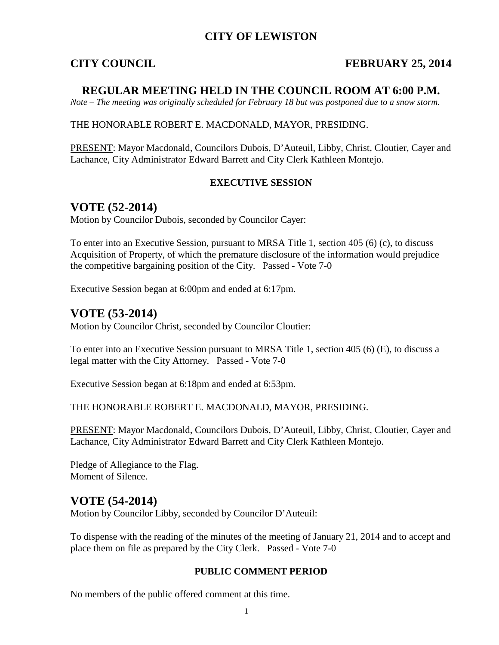## **CITY OF LEWISTON**

### **CITY COUNCIL FEBRUARY 25, 2014**

### **REGULAR MEETING HELD IN THE COUNCIL ROOM AT 6:00 P.M.**

*Note – The meeting was originally scheduled for February 18 but was postponed due to a snow storm.*

### THE HONORABLE ROBERT E. MACDONALD, MAYOR, PRESIDING.

PRESENT: Mayor Macdonald, Councilors Dubois, D'Auteuil, Libby, Christ, Cloutier, Cayer and Lachance, City Administrator Edward Barrett and City Clerk Kathleen Montejo.

### **EXECUTIVE SESSION**

### **VOTE (52-2014)**

Motion by Councilor Dubois, seconded by Councilor Cayer:

To enter into an Executive Session, pursuant to MRSA Title 1, section 405 (6) (c), to discuss Acquisition of Property, of which the premature disclosure of the information would prejudice the competitive bargaining position of the City. Passed - Vote 7-0

Executive Session began at 6:00pm and ended at 6:17pm.

### **VOTE (53-2014)**

Motion by Councilor Christ, seconded by Councilor Cloutier:

To enter into an Executive Session pursuant to MRSA Title 1, section 405 (6) (E), to discuss a legal matter with the City Attorney. Passed - Vote 7-0

Executive Session began at 6:18pm and ended at 6:53pm.

THE HONORABLE ROBERT E. MACDONALD, MAYOR, PRESIDING.

PRESENT: Mayor Macdonald, Councilors Dubois, D'Auteuil, Libby, Christ, Cloutier, Cayer and Lachance, City Administrator Edward Barrett and City Clerk Kathleen Montejo.

Pledge of Allegiance to the Flag. Moment of Silence.

### **VOTE (54-2014)**

Motion by Councilor Libby, seconded by Councilor D'Auteuil:

To dispense with the reading of the minutes of the meeting of January 21, 2014 and to accept and place them on file as prepared by the City Clerk. Passed - Vote 7-0

### **PUBLIC COMMENT PERIOD**

No members of the public offered comment at this time.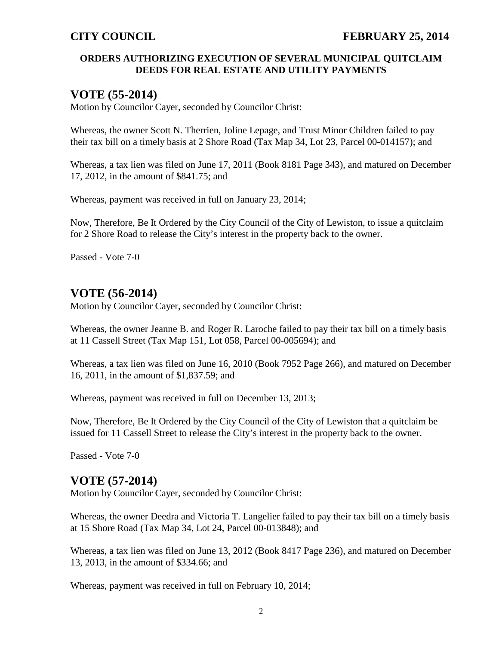### **ORDERS AUTHORIZING EXECUTION OF SEVERAL MUNICIPAL QUITCLAIM DEEDS FOR REAL ESTATE AND UTILITY PAYMENTS**

## **VOTE (55-2014)**

Motion by Councilor Cayer, seconded by Councilor Christ:

Whereas, the owner Scott N. Therrien, Joline Lepage, and Trust Minor Children failed to pay their tax bill on a timely basis at 2 Shore Road (Tax Map 34, Lot 23, Parcel 00-014157); and

Whereas, a tax lien was filed on June 17, 2011 (Book 8181 Page 343), and matured on December 17, 2012, in the amount of \$841.75; and

Whereas, payment was received in full on January 23, 2014;

Now, Therefore, Be It Ordered by the City Council of the City of Lewiston, to issue a quitclaim for 2 Shore Road to release the City's interest in the property back to the owner.

Passed - Vote 7-0

## **VOTE (56-2014)**

Motion by Councilor Cayer, seconded by Councilor Christ:

Whereas, the owner Jeanne B. and Roger R. Laroche failed to pay their tax bill on a timely basis at 11 Cassell Street (Tax Map 151, Lot 058, Parcel 00-005694); and

Whereas, a tax lien was filed on June 16, 2010 (Book 7952 Page 266), and matured on December 16, 2011, in the amount of \$1,837.59; and

Whereas, payment was received in full on December 13, 2013;

Now, Therefore, Be It Ordered by the City Council of the City of Lewiston that a quitclaim be issued for 11 Cassell Street to release the City's interest in the property back to the owner.

Passed - Vote 7-0

## **VOTE (57-2014)**

Motion by Councilor Cayer, seconded by Councilor Christ:

Whereas, the owner Deedra and Victoria T. Langelier failed to pay their tax bill on a timely basis at 15 Shore Road (Tax Map 34, Lot 24, Parcel 00-013848); and

Whereas, a tax lien was filed on June 13, 2012 (Book 8417 Page 236), and matured on December 13, 2013, in the amount of \$334.66; and

Whereas, payment was received in full on February 10, 2014;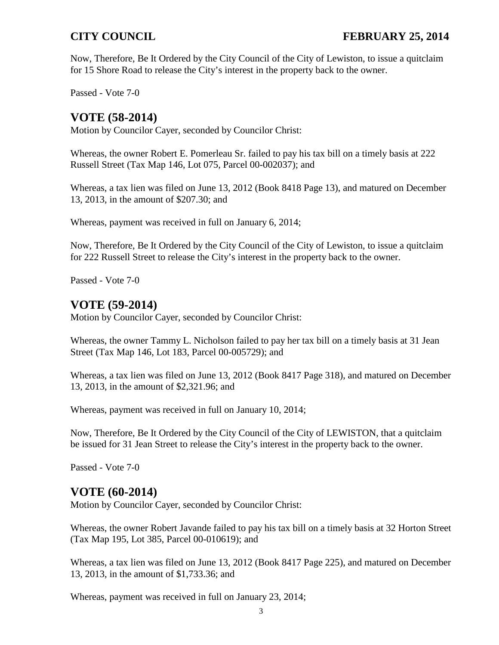Now, Therefore, Be It Ordered by the City Council of the City of Lewiston, to issue a quitclaim for 15 Shore Road to release the City's interest in the property back to the owner.

Passed - Vote 7-0

# **VOTE (58-2014)**

Motion by Councilor Cayer, seconded by Councilor Christ:

Whereas, the owner Robert E. Pomerleau Sr. failed to pay his tax bill on a timely basis at 222 Russell Street (Tax Map 146, Lot 075, Parcel 00-002037); and

Whereas, a tax lien was filed on June 13, 2012 (Book 8418 Page 13), and matured on December 13, 2013, in the amount of \$207.30; and

Whereas, payment was received in full on January 6, 2014;

Now, Therefore, Be It Ordered by the City Council of the City of Lewiston, to issue a quitclaim for 222 Russell Street to release the City's interest in the property back to the owner.

Passed - Vote 7-0

# **VOTE (59-2014)**

Motion by Councilor Cayer, seconded by Councilor Christ:

Whereas, the owner Tammy L. Nicholson failed to pay her tax bill on a timely basis at 31 Jean Street (Tax Map 146, Lot 183, Parcel 00-005729); and

Whereas, a tax lien was filed on June 13, 2012 (Book 8417 Page 318), and matured on December 13, 2013, in the amount of \$2,321.96; and

Whereas, payment was received in full on January 10, 2014;

Now, Therefore, Be It Ordered by the City Council of the City of LEWISTON, that a quitclaim be issued for 31 Jean Street to release the City's interest in the property back to the owner.

Passed - Vote 7-0

# **VOTE (60-2014)**

Motion by Councilor Cayer, seconded by Councilor Christ:

Whereas, the owner Robert Javande failed to pay his tax bill on a timely basis at 32 Horton Street (Tax Map 195, Lot 385, Parcel 00-010619); and

Whereas, a tax lien was filed on June 13, 2012 (Book 8417 Page 225), and matured on December 13, 2013, in the amount of \$1,733.36; and

Whereas, payment was received in full on January 23, 2014;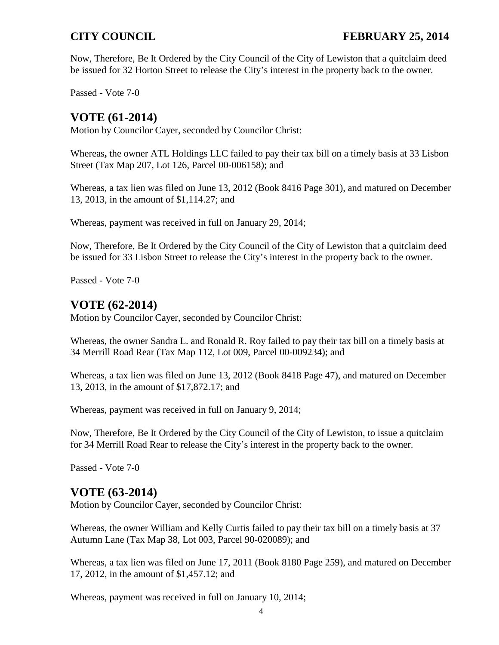Now, Therefore, Be It Ordered by the City Council of the City of Lewiston that a quitclaim deed be issued for 32 Horton Street to release the City's interest in the property back to the owner.

Passed - Vote 7-0

# **VOTE (61-2014)**

Motion by Councilor Cayer, seconded by Councilor Christ:

Whereas**,** the owner ATL Holdings LLC failed to pay their tax bill on a timely basis at 33 Lisbon Street (Tax Map 207, Lot 126, Parcel 00-006158); and

Whereas, a tax lien was filed on June 13, 2012 (Book 8416 Page 301), and matured on December 13, 2013, in the amount of \$1,114.27; and

Whereas, payment was received in full on January 29, 2014;

Now, Therefore, Be It Ordered by the City Council of the City of Lewiston that a quitclaim deed be issued for 33 Lisbon Street to release the City's interest in the property back to the owner.

Passed - Vote 7-0

# **VOTE (62-2014)**

Motion by Councilor Cayer, seconded by Councilor Christ:

Whereas, the owner Sandra L. and Ronald R. Roy failed to pay their tax bill on a timely basis at 34 Merrill Road Rear (Tax Map 112, Lot 009, Parcel 00-009234); and

Whereas, a tax lien was filed on June 13, 2012 (Book 8418 Page 47), and matured on December 13, 2013, in the amount of \$17,872.17; and

Whereas, payment was received in full on January 9, 2014;

Now, Therefore, Be It Ordered by the City Council of the City of Lewiston, to issue a quitclaim for 34 Merrill Road Rear to release the City's interest in the property back to the owner.

Passed - Vote 7-0

## **VOTE (63-2014)**

Motion by Councilor Cayer, seconded by Councilor Christ:

Whereas, the owner William and Kelly Curtis failed to pay their tax bill on a timely basis at 37 Autumn Lane (Tax Map 38, Lot 003, Parcel 90-020089); and

Whereas, a tax lien was filed on June 17, 2011 (Book 8180 Page 259), and matured on December 17, 2012, in the amount of \$1,457.12; and

Whereas, payment was received in full on January 10, 2014;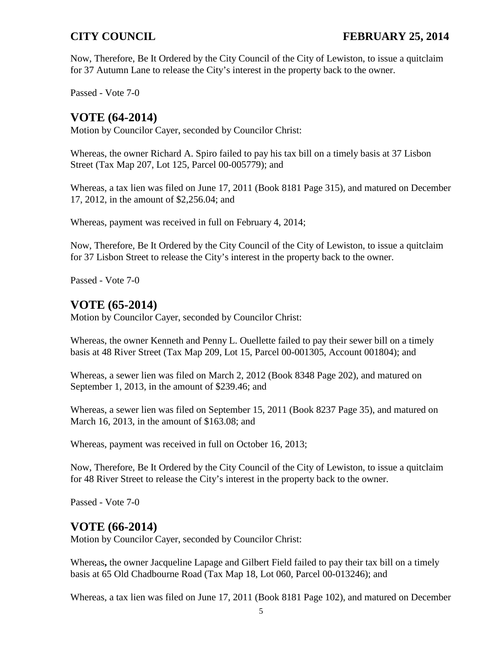Now, Therefore, Be It Ordered by the City Council of the City of Lewiston, to issue a quitclaim for 37 Autumn Lane to release the City's interest in the property back to the owner.

Passed - Vote 7-0

# **VOTE (64-2014)**

Motion by Councilor Cayer, seconded by Councilor Christ:

Whereas, the owner Richard A. Spiro failed to pay his tax bill on a timely basis at 37 Lisbon Street (Tax Map 207, Lot 125, Parcel 00-005779); and

Whereas, a tax lien was filed on June 17, 2011 (Book 8181 Page 315), and matured on December 17, 2012, in the amount of \$2,256.04; and

Whereas, payment was received in full on February 4, 2014;

Now, Therefore, Be It Ordered by the City Council of the City of Lewiston, to issue a quitclaim for 37 Lisbon Street to release the City's interest in the property back to the owner.

Passed - Vote 7-0

# **VOTE (65-2014)**

Motion by Councilor Cayer, seconded by Councilor Christ:

Whereas, the owner Kenneth and Penny L. Ouellette failed to pay their sewer bill on a timely basis at 48 River Street (Tax Map 209, Lot 15, Parcel 00-001305, Account 001804); and

Whereas, a sewer lien was filed on March 2, 2012 (Book 8348 Page 202), and matured on September 1, 2013, in the amount of \$239.46; and

Whereas, a sewer lien was filed on September 15, 2011 (Book 8237 Page 35), and matured on March 16, 2013, in the amount of \$163.08; and

Whereas, payment was received in full on October 16, 2013;

Now, Therefore, Be It Ordered by the City Council of the City of Lewiston, to issue a quitclaim for 48 River Street to release the City's interest in the property back to the owner.

Passed - Vote 7-0

# **VOTE (66-2014)**

Motion by Councilor Cayer, seconded by Councilor Christ:

Whereas**,** the owner Jacqueline Lapage and Gilbert Field failed to pay their tax bill on a timely basis at 65 Old Chadbourne Road (Tax Map 18, Lot 060, Parcel 00-013246); and

Whereas, a tax lien was filed on June 17, 2011 (Book 8181 Page 102), and matured on December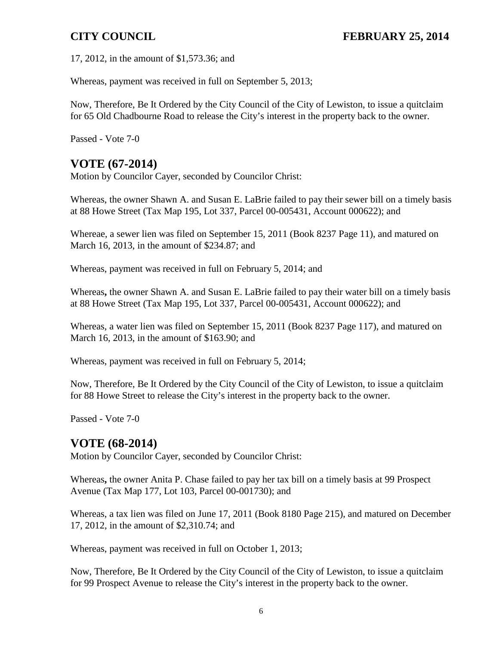17, 2012, in the amount of \$1,573.36; and

Whereas, payment was received in full on September 5, 2013;

Now, Therefore, Be It Ordered by the City Council of the City of Lewiston, to issue a quitclaim for 65 Old Chadbourne Road to release the City's interest in the property back to the owner.

Passed - Vote 7-0

# **VOTE (67-2014)**

Motion by Councilor Cayer, seconded by Councilor Christ:

Whereas, the owner Shawn A. and Susan E. LaBrie failed to pay their sewer bill on a timely basis at 88 Howe Street (Tax Map 195, Lot 337, Parcel 00-005431, Account 000622); and

Whereae, a sewer lien was filed on September 15, 2011 (Book 8237 Page 11), and matured on March 16, 2013, in the amount of \$234.87; and

Whereas, payment was received in full on February 5, 2014; and

Whereas**,** the owner Shawn A. and Susan E. LaBrie failed to pay their water bill on a timely basis at 88 Howe Street (Tax Map 195, Lot 337, Parcel 00-005431, Account 000622); and

Whereas, a water lien was filed on September 15, 2011 (Book 8237 Page 117), and matured on March 16, 2013, in the amount of \$163.90; and

Whereas, payment was received in full on February 5, 2014;

Now, Therefore, Be It Ordered by the City Council of the City of Lewiston, to issue a quitclaim for 88 Howe Street to release the City's interest in the property back to the owner.

Passed - Vote 7-0

## **VOTE (68-2014)**

Motion by Councilor Cayer, seconded by Councilor Christ:

Whereas**,** the owner Anita P. Chase failed to pay her tax bill on a timely basis at 99 Prospect Avenue (Tax Map 177, Lot 103, Parcel 00-001730); and

Whereas, a tax lien was filed on June 17, 2011 (Book 8180 Page 215), and matured on December 17, 2012, in the amount of \$2,310.74; and

Whereas, payment was received in full on October 1, 2013;

Now, Therefore, Be It Ordered by the City Council of the City of Lewiston, to issue a quitclaim for 99 Prospect Avenue to release the City's interest in the property back to the owner.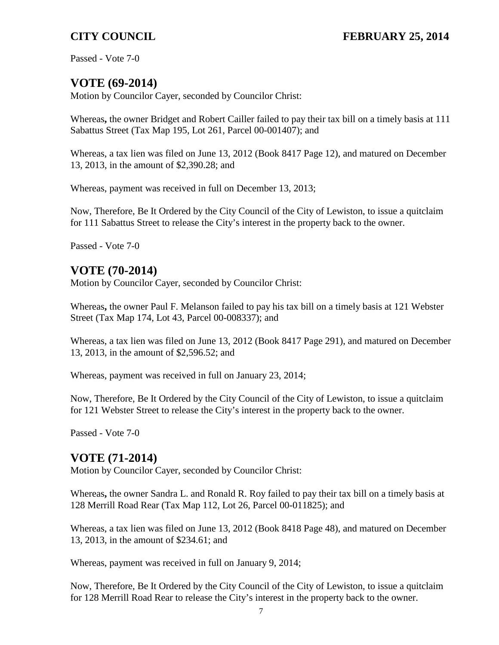Passed - Vote 7-0

# **VOTE (69-2014)**

Motion by Councilor Cayer, seconded by Councilor Christ:

Whereas**,** the owner Bridget and Robert Cailler failed to pay their tax bill on a timely basis at 111 Sabattus Street (Tax Map 195, Lot 261, Parcel 00-001407); and

Whereas, a tax lien was filed on June 13, 2012 (Book 8417 Page 12), and matured on December 13, 2013, in the amount of \$2,390.28; and

Whereas, payment was received in full on December 13, 2013;

Now, Therefore, Be It Ordered by the City Council of the City of Lewiston, to issue a quitclaim for 111 Sabattus Street to release the City's interest in the property back to the owner.

Passed - Vote 7-0

# **VOTE (70-2014)**

Motion by Councilor Cayer, seconded by Councilor Christ:

Whereas**,** the owner Paul F. Melanson failed to pay his tax bill on a timely basis at 121 Webster Street (Tax Map 174, Lot 43, Parcel 00-008337); and

Whereas, a tax lien was filed on June 13, 2012 (Book 8417 Page 291), and matured on December 13, 2013, in the amount of \$2,596.52; and

Whereas, payment was received in full on January 23, 2014;

Now, Therefore, Be It Ordered by the City Council of the City of Lewiston, to issue a quitclaim for 121 Webster Street to release the City's interest in the property back to the owner.

Passed - Vote 7-0

# **VOTE (71-2014)**

Motion by Councilor Cayer, seconded by Councilor Christ:

Whereas**,** the owner Sandra L. and Ronald R. Roy failed to pay their tax bill on a timely basis at 128 Merrill Road Rear (Tax Map 112, Lot 26, Parcel 00-011825); and

Whereas, a tax lien was filed on June 13, 2012 (Book 8418 Page 48), and matured on December 13, 2013, in the amount of \$234.61; and

Whereas, payment was received in full on January 9, 2014;

Now, Therefore, Be It Ordered by the City Council of the City of Lewiston, to issue a quitclaim for 128 Merrill Road Rear to release the City's interest in the property back to the owner.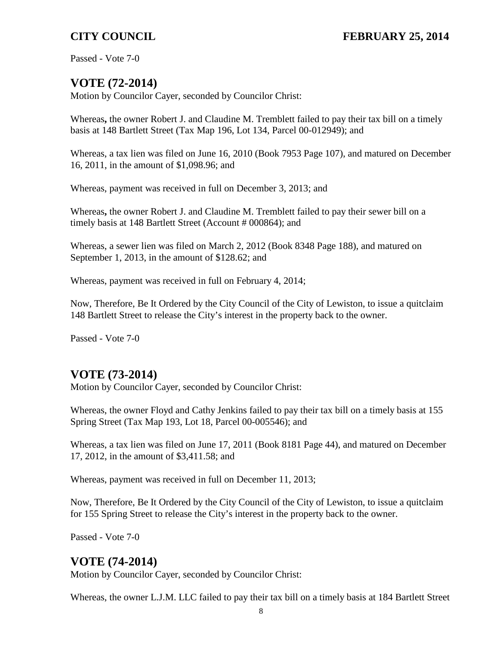Passed - Vote 7-0

# **VOTE (72-2014)**

Motion by Councilor Cayer, seconded by Councilor Christ:

Whereas**,** the owner Robert J. and Claudine M. Tremblett failed to pay their tax bill on a timely basis at 148 Bartlett Street (Tax Map 196, Lot 134, Parcel 00-012949); and

Whereas, a tax lien was filed on June 16, 2010 (Book 7953 Page 107), and matured on December 16, 2011, in the amount of \$1,098.96; and

Whereas, payment was received in full on December 3, 2013; and

Whereas**,** the owner Robert J. and Claudine M. Tremblett failed to pay their sewer bill on a timely basis at 148 Bartlett Street (Account # 000864); and

Whereas, a sewer lien was filed on March 2, 2012 (Book 8348 Page 188), and matured on September 1, 2013, in the amount of \$128.62; and

Whereas, payment was received in full on February 4, 2014;

Now, Therefore, Be It Ordered by the City Council of the City of Lewiston, to issue a quitclaim 148 Bartlett Street to release the City's interest in the property back to the owner.

Passed - Vote 7-0

# **VOTE (73-2014)**

Motion by Councilor Cayer, seconded by Councilor Christ:

Whereas, the owner Floyd and Cathy Jenkins failed to pay their tax bill on a timely basis at 155 Spring Street (Tax Map 193, Lot 18, Parcel 00-005546); and

Whereas, a tax lien was filed on June 17, 2011 (Book 8181 Page 44), and matured on December 17, 2012, in the amount of \$3,411.58; and

Whereas, payment was received in full on December 11, 2013;

Now, Therefore, Be It Ordered by the City Council of the City of Lewiston, to issue a quitclaim for 155 Spring Street to release the City's interest in the property back to the owner.

Passed - Vote 7-0

# **VOTE (74-2014)**

Motion by Councilor Cayer, seconded by Councilor Christ:

Whereas, the owner L.J.M. LLC failed to pay their tax bill on a timely basis at 184 Bartlett Street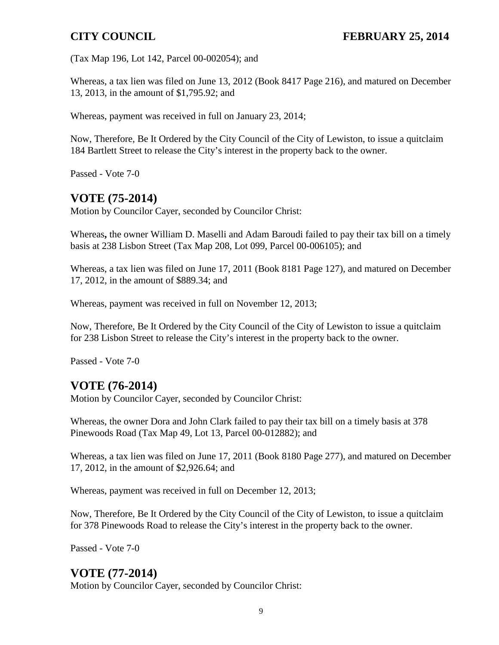(Tax Map 196, Lot 142, Parcel 00-002054); and

Whereas, a tax lien was filed on June 13, 2012 (Book 8417 Page 216), and matured on December 13, 2013, in the amount of \$1,795.92; and

Whereas, payment was received in full on January 23, 2014;

Now, Therefore, Be It Ordered by the City Council of the City of Lewiston, to issue a quitclaim 184 Bartlett Street to release the City's interest in the property back to the owner.

Passed - Vote 7-0

# **VOTE (75-2014)**

Motion by Councilor Cayer, seconded by Councilor Christ:

Whereas**,** the owner William D. Maselli and Adam Baroudi failed to pay their tax bill on a timely basis at 238 Lisbon Street (Tax Map 208, Lot 099, Parcel 00-006105); and

Whereas, a tax lien was filed on June 17, 2011 (Book 8181 Page 127), and matured on December 17, 2012, in the amount of \$889.34; and

Whereas, payment was received in full on November 12, 2013;

Now, Therefore, Be It Ordered by the City Council of the City of Lewiston to issue a quitclaim for 238 Lisbon Street to release the City's interest in the property back to the owner.

Passed - Vote 7-0

# **VOTE (76-2014)**

Motion by Councilor Cayer, seconded by Councilor Christ:

Whereas, the owner Dora and John Clark failed to pay their tax bill on a timely basis at 378 Pinewoods Road (Tax Map 49, Lot 13, Parcel 00-012882); and

Whereas, a tax lien was filed on June 17, 2011 (Book 8180 Page 277), and matured on December 17, 2012, in the amount of \$2,926.64; and

Whereas, payment was received in full on December 12, 2013;

Now, Therefore, Be It Ordered by the City Council of the City of Lewiston, to issue a quitclaim for 378 Pinewoods Road to release the City's interest in the property back to the owner.

Passed - Vote 7-0

## **VOTE (77-2014)**

Motion by Councilor Cayer, seconded by Councilor Christ: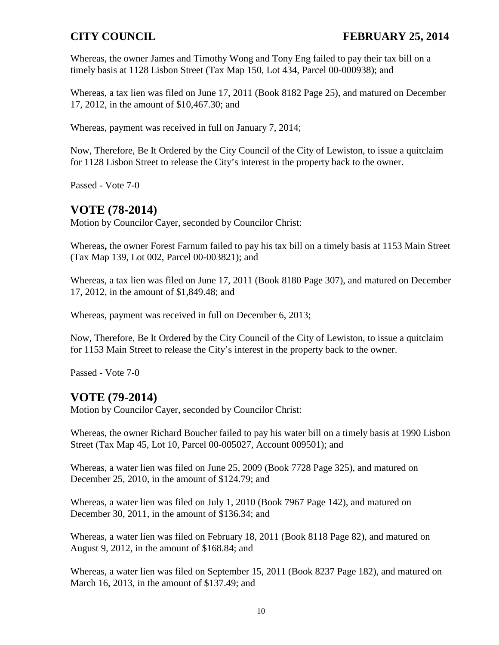Whereas, the owner James and Timothy Wong and Tony Eng failed to pay their tax bill on a timely basis at 1128 Lisbon Street (Tax Map 150, Lot 434, Parcel 00-000938); and

Whereas, a tax lien was filed on June 17, 2011 (Book 8182 Page 25), and matured on December 17, 2012, in the amount of \$10,467.30; and

Whereas, payment was received in full on January 7, 2014;

Now, Therefore, Be It Ordered by the City Council of the City of Lewiston, to issue a quitclaim for 1128 Lisbon Street to release the City's interest in the property back to the owner.

Passed - Vote 7-0

## **VOTE (78-2014)**

Motion by Councilor Cayer, seconded by Councilor Christ:

Whereas**,** the owner Forest Farnum failed to pay his tax bill on a timely basis at 1153 Main Street (Tax Map 139, Lot 002, Parcel 00-003821); and

Whereas, a tax lien was filed on June 17, 2011 (Book 8180 Page 307), and matured on December 17, 2012, in the amount of \$1,849.48; and

Whereas, payment was received in full on December 6, 2013;

Now, Therefore, Be It Ordered by the City Council of the City of Lewiston, to issue a quitclaim for 1153 Main Street to release the City's interest in the property back to the owner.

Passed - Vote 7-0

## **VOTE (79-2014)**

Motion by Councilor Cayer, seconded by Councilor Christ:

Whereas, the owner Richard Boucher failed to pay his water bill on a timely basis at 1990 Lisbon Street (Tax Map 45, Lot 10, Parcel 00-005027, Account 009501); and

Whereas, a water lien was filed on June 25, 2009 (Book 7728 Page 325), and matured on December 25, 2010, in the amount of \$124.79; and

Whereas, a water lien was filed on July 1, 2010 (Book 7967 Page 142), and matured on December 30, 2011, in the amount of \$136.34; and

Whereas, a water lien was filed on February 18, 2011 (Book 8118 Page 82), and matured on August 9, 2012, in the amount of \$168.84; and

Whereas, a water lien was filed on September 15, 2011 (Book 8237 Page 182), and matured on March 16, 2013, in the amount of \$137.49; and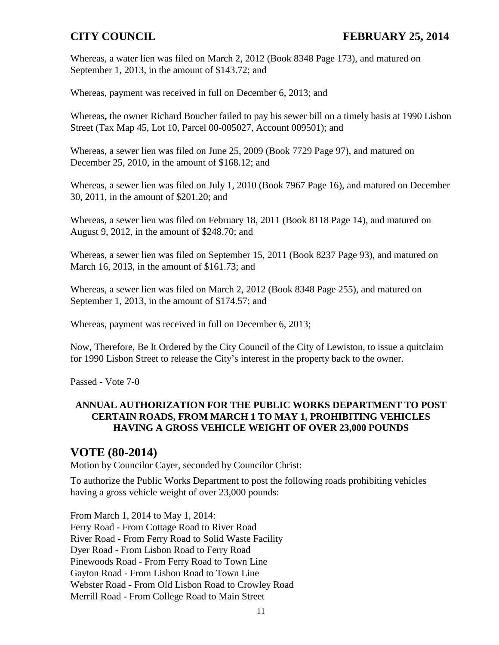Whereas, a water lien was filed on March 2, 2012 (Book 8348 Page 173), and matured on September 1, 2013, in the amount of \$143.72; and

Whereas, payment was received in full on December 6, 2013; and

Whereas**,** the owner Richard Boucher failed to pay his sewer bill on a timely basis at 1990 Lisbon Street (Tax Map 45, Lot 10, Parcel 00-005027, Account 009501); and

Whereas, a sewer lien was filed on June 25, 2009 (Book 7729 Page 97), and matured on December 25, 2010, in the amount of \$168.12; and

Whereas, a sewer lien was filed on July 1, 2010 (Book 7967 Page 16), and matured on December 30, 2011, in the amount of \$201.20; and

Whereas, a sewer lien was filed on February 18, 2011 (Book 8118 Page 14), and matured on August 9, 2012, in the amount of \$248.70; and

Whereas, a sewer lien was filed on September 15, 2011 (Book 8237 Page 93), and matured on March 16, 2013, in the amount of \$161.73; and

Whereas, a sewer lien was filed on March 2, 2012 (Book 8348 Page 255), and matured on September 1, 2013, in the amount of \$174.57; and

Whereas, payment was received in full on December 6, 2013;

Now, Therefore, Be It Ordered by the City Council of the City of Lewiston, to issue a quitclaim for 1990 Lisbon Street to release the City's interest in the property back to the owner.

Passed - Vote 7-0

### **ANNUAL AUTHORIZATION FOR THE PUBLIC WORKS DEPARTMENT TO POST CERTAIN ROADS, FROM MARCH 1 TO MAY 1, PROHIBITING VEHICLES HAVING A GROSS VEHICLE WEIGHT OF OVER 23,000 POUNDS**

## **VOTE (80-2014)**

Motion by Councilor Cayer, seconded by Councilor Christ:

To authorize the Public Works Department to post the following roads prohibiting vehicles having a gross vehicle weight of over 23,000 pounds:

From March 1, 2014 to May 1, 2014:

Ferry Road - From Cottage Road to River Road River Road - From Ferry Road to Solid Waste Facility Dyer Road - From Lisbon Road to Ferry Road Pinewoods Road - From Ferry Road to Town Line Gayton Road - From Lisbon Road to Town Line Webster Road - From Old Lisbon Road to Crowley Road Merrill Road - From College Road to Main Street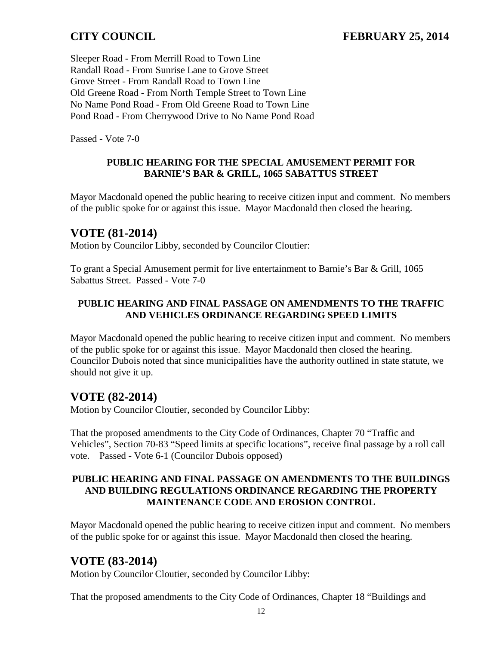Sleeper Road - From Merrill Road to Town Line Randall Road - From Sunrise Lane to Grove Street Grove Street - From Randall Road to Town Line Old Greene Road - From North Temple Street to Town Line No Name Pond Road - From Old Greene Road to Town Line Pond Road - From Cherrywood Drive to No Name Pond Road

Passed - Vote 7-0

### **PUBLIC HEARING FOR THE SPECIAL AMUSEMENT PERMIT FOR BARNIE'S BAR & GRILL, 1065 SABATTUS STREET**

Mayor Macdonald opened the public hearing to receive citizen input and comment. No members of the public spoke for or against this issue. Mayor Macdonald then closed the hearing.

### **VOTE (81-2014)**

Motion by Councilor Libby, seconded by Councilor Cloutier:

To grant a Special Amusement permit for live entertainment to Barnie's Bar & Grill, 1065 Sabattus Street. Passed - Vote 7-0

### **PUBLIC HEARING AND FINAL PASSAGE ON AMENDMENTS TO THE TRAFFIC AND VEHICLES ORDINANCE REGARDING SPEED LIMITS**

Mayor Macdonald opened the public hearing to receive citizen input and comment. No members of the public spoke for or against this issue. Mayor Macdonald then closed the hearing. Councilor Dubois noted that since municipalities have the authority outlined in state statute, we should not give it up.

## **VOTE (82-2014)**

Motion by Councilor Cloutier, seconded by Councilor Libby:

That the proposed amendments to the City Code of Ordinances, Chapter 70 "Traffic and Vehicles", Section 70-83 "Speed limits at specific locations", receive final passage by a roll call vote. Passed - Vote 6-1 (Councilor Dubois opposed)

### **PUBLIC HEARING AND FINAL PASSAGE ON AMENDMENTS TO THE BUILDINGS AND BUILDING REGULATIONS ORDINANCE REGARDING THE PROPERTY MAINTENANCE CODE AND EROSION CONTROL**

Mayor Macdonald opened the public hearing to receive citizen input and comment. No members of the public spoke for or against this issue. Mayor Macdonald then closed the hearing.

## **VOTE (83-2014)**

Motion by Councilor Cloutier, seconded by Councilor Libby:

That the proposed amendments to the City Code of Ordinances, Chapter 18 "Buildings and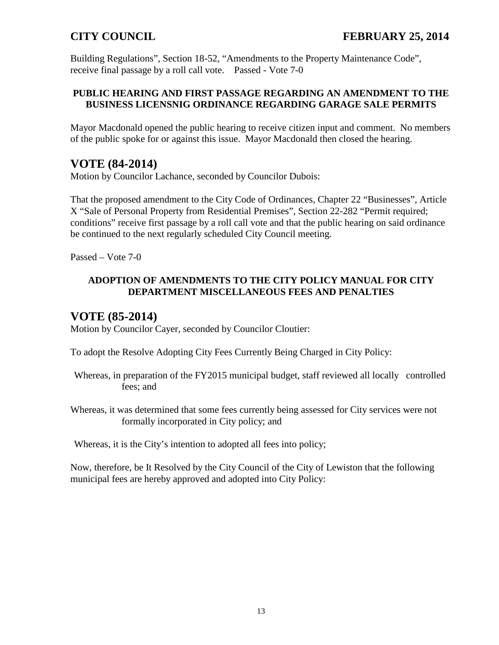Building Regulations", Section 18-52, "Amendments to the Property Maintenance Code", receive final passage by a roll call vote. Passed - Vote 7-0

### **PUBLIC HEARING AND FIRST PASSAGE REGARDING AN AMENDMENT TO THE BUSINESS LICENSNIG ORDINANCE REGARDING GARAGE SALE PERMITS**

Mayor Macdonald opened the public hearing to receive citizen input and comment. No members of the public spoke for or against this issue. Mayor Macdonald then closed the hearing.

## **VOTE (84-2014)**

Motion by Councilor Lachance, seconded by Councilor Dubois:

That the proposed amendment to the City Code of Ordinances, Chapter 22 "Businesses", Article X "Sale of Personal Property from Residential Premises", Section 22-282 "Permit required; conditions" receive first passage by a roll call vote and that the public hearing on said ordinance be continued to the next regularly scheduled City Council meeting.

Passed – Vote 7-0

### **ADOPTION OF AMENDMENTS TO THE CITY POLICY MANUAL FOR CITY DEPARTMENT MISCELLANEOUS FEES AND PENALTIES**

## **VOTE (85-2014)**

Motion by Councilor Cayer, seconded by Councilor Cloutier:

To adopt the Resolve Adopting City Fees Currently Being Charged in City Policy:

- Whereas, in preparation of the FY2015 municipal budget, staff reviewed all locally controlled fees; and
- Whereas, it was determined that some fees currently being assessed for City services were not formally incorporated in City policy; and

Whereas, it is the City's intention to adopted all fees into policy;

Now, therefore, be It Resolved by the City Council of the City of Lewiston that the following municipal fees are hereby approved and adopted into City Policy: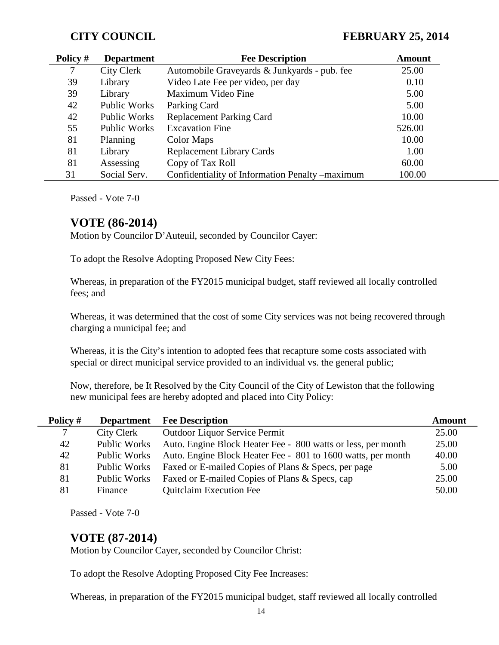| Policy # | <b>Department</b>   | <b>Fee Description</b>                           | <b>Amount</b> |
|----------|---------------------|--------------------------------------------------|---------------|
|          | City Clerk          | Automobile Graveyards & Junkyards - pub. fee     | 25.00         |
| 39       | Library             | Video Late Fee per video, per day                | 0.10          |
| 39       | Library             | Maximum Video Fine                               | 5.00          |
| 42       | Public Works        | Parking Card                                     | 5.00          |
| 42       | Public Works        | <b>Replacement Parking Card</b>                  | 10.00         |
| 55       | <b>Public Works</b> | <b>Excavation Fine</b>                           | 526.00        |
| 81       | Planning            | Color Maps                                       | 10.00         |
| 81       | Library             | <b>Replacement Library Cards</b>                 | 1.00          |
| 81       | Assessing           | Copy of Tax Roll                                 | 60.00         |
| 31       | Social Serv.        | Confidentiality of Information Penalty – maximum | 100.00        |

Passed - Vote 7-0

### **VOTE (86-2014)**

Motion by Councilor D'Auteuil, seconded by Councilor Cayer:

To adopt the Resolve Adopting Proposed New City Fees:

Whereas, in preparation of the FY2015 municipal budget, staff reviewed all locally controlled fees; and

Whereas, it was determined that the cost of some City services was not being recovered through charging a municipal fee; and

Whereas, it is the City's intention to adopted fees that recapture some costs associated with special or direct municipal service provided to an individual vs. the general public;

Now, therefore, be It Resolved by the City Council of the City of Lewiston that the following new municipal fees are hereby adopted and placed into City Policy:

| Policy # | <b>Department</b>   | <b>Fee Description</b>                                       | Amount |
|----------|---------------------|--------------------------------------------------------------|--------|
| 7        | City Clerk          | <b>Outdoor Liquor Service Permit</b>                         | 25.00  |
| 42       | <b>Public Works</b> | Auto. Engine Block Heater Fee - 800 watts or less, per month | 25.00  |
| 42       | Public Works        | Auto. Engine Block Heater Fee - 801 to 1600 watts, per month | 40.00  |
| 81       | Public Works        | Faxed or E-mailed Copies of Plans & Specs, per page          | 5.00   |
| 81       | Public Works        | Faxed or E-mailed Copies of Plans & Specs, cap               | 25.00  |
| 81       | Finance             | <b>Quitclaim Execution Fee</b>                               | 50.00  |

Passed - Vote 7-0

### **VOTE (87-2014)**

Motion by Councilor Cayer, seconded by Councilor Christ:

To adopt the Resolve Adopting Proposed City Fee Increases:

Whereas, in preparation of the FY2015 municipal budget, staff reviewed all locally controlled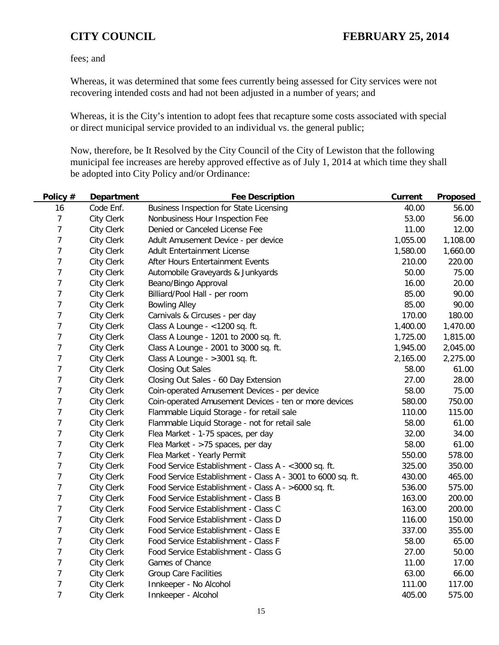fees; and

Whereas, it was determined that some fees currently being assessed for City services were not recovering intended costs and had not been adjusted in a number of years; and

Whereas, it is the City's intention to adopt fees that recapture some costs associated with special or direct municipal service provided to an individual vs. the general public;

Now, therefore, be It Resolved by the City Council of the City of Lewiston that the following municipal fee increases are hereby approved effective as of July 1, 2014 at which time they shall be adopted into City Policy and/or Ordinance:

| Policy #       | <b>Department</b> | <b>Fee Description</b>                                      | <b>Current</b> | Proposed |
|----------------|-------------------|-------------------------------------------------------------|----------------|----------|
| 16             | Code Enf.         | <b>Business Inspection for State Licensing</b>              | 40.00          | 56.00    |
| 7              | <b>City Clerk</b> | Nonbusiness Hour Inspection Fee                             | 53.00          | 56.00    |
| 7              | <b>City Clerk</b> | Denied or Canceled License Fee                              | 11.00          | 12.00    |
| 7              | <b>City Clerk</b> | Adult Amusement Device - per device                         | 1,055.00       | 1,108.00 |
| 7              | <b>City Clerk</b> | <b>Adult Entertainment License</b>                          | 1,580.00       | 1,660.00 |
| 7              | <b>City Clerk</b> | After Hours Entertainment Events                            | 210.00         | 220.00   |
| 7              | <b>City Clerk</b> | Automobile Graveyards & Junkyards                           | 50.00          | 75.00    |
| 7              | <b>City Clerk</b> | Beano/Bingo Approval                                        | 16.00          | 20.00    |
| $\overline{7}$ | <b>City Clerk</b> | Billiard/Pool Hall - per room                               | 85.00          | 90.00    |
| 7              | <b>City Clerk</b> | <b>Bowling Alley</b>                                        | 85.00          | 90.00    |
| 7              | <b>City Clerk</b> | Carnivals & Circuses - per day                              | 170.00         | 180.00   |
| 7              | <b>City Clerk</b> | Class A Lounge - <1200 sq. ft.                              | 1,400.00       | 1,470.00 |
| 7              | <b>City Clerk</b> | Class A Lounge - 1201 to 2000 sq. ft.                       | 1,725.00       | 1,815.00 |
| 7              | <b>City Clerk</b> | Class A Lounge - 2001 to 3000 sq. ft.                       | 1,945.00       | 2,045.00 |
| 7              | City Clerk        | Class A Lounge - > 3001 sq. ft.                             | 2,165.00       | 2,275.00 |
| 7              | City Clerk        | <b>Closing Out Sales</b>                                    | 58.00          | 61.00    |
| 7              | <b>City Clerk</b> | Closing Out Sales - 60 Day Extension                        | 27.00          | 28.00    |
| 7              | <b>City Clerk</b> | Coin-operated Amusement Devices - per device                | 58.00          | 75.00    |
| $\overline{7}$ | <b>City Clerk</b> | Coin-operated Amusement Devices - ten or more devices       | 580.00         | 750.00   |
| 7              | <b>City Clerk</b> | Flammable Liquid Storage - for retail sale                  | 110.00         | 115.00   |
| 7              | City Clerk        | Flammable Liquid Storage - not for retail sale              | 58.00          | 61.00    |
| 7              | <b>City Clerk</b> | Flea Market - 1-75 spaces, per day                          | 32.00          | 34.00    |
| $\overline{7}$ | <b>City Clerk</b> | Flea Market - >75 spaces, per day                           | 58.00          | 61.00    |
| 7              | City Clerk        | Flea Market - Yearly Permit                                 | 550.00         | 578.00   |
| 7              | <b>City Clerk</b> | Food Service Establishment - Class A - < 3000 sq. ft.       | 325.00         | 350.00   |
| 7              | <b>City Clerk</b> | Food Service Establishment - Class A - 3001 to 6000 sq. ft. | 430.00         | 465.00   |
| $\overline{7}$ | <b>City Clerk</b> | Food Service Establishment - Class A - >6000 sq. ft.        | 536.00         | 575.00   |
| $\overline{7}$ | <b>City Clerk</b> | Food Service Establishment - Class B                        | 163.00         | 200.00   |
| 7              | <b>City Clerk</b> | Food Service Establishment - Class C                        | 163.00         | 200.00   |
| 7              | <b>City Clerk</b> | Food Service Establishment - Class D                        | 116.00         | 150.00   |
| $\overline{7}$ | <b>City Clerk</b> | Food Service Establishment - Class E                        | 337.00         | 355.00   |
| 7              | <b>City Clerk</b> | Food Service Establishment - Class F                        | 58.00          | 65.00    |
| 7              | <b>City Clerk</b> | Food Service Establishment - Class G                        | 27.00          | 50.00    |
| 7              | <b>City Clerk</b> | Games of Chance                                             | 11.00          | 17.00    |
| 7              | <b>City Clerk</b> | <b>Group Care Facilities</b>                                | 63.00          | 66.00    |
| $\overline{7}$ | <b>City Clerk</b> | Innkeeper - No Alcohol                                      | 111.00         | 117.00   |
| $\overline{7}$ | <b>City Clerk</b> | Innkeeper - Alcohol                                         | 405.00         | 575.00   |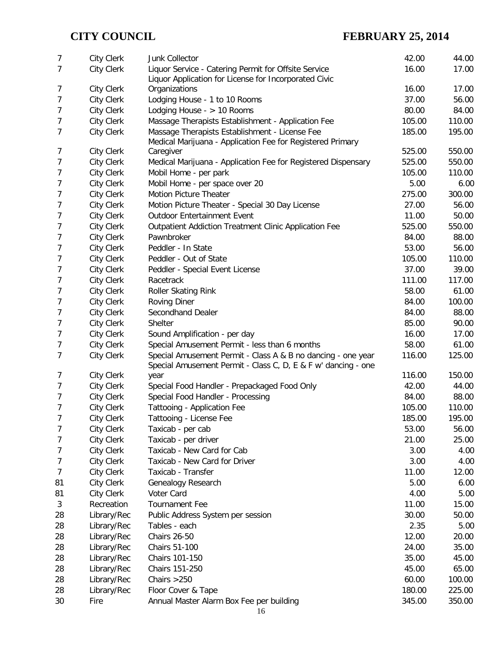| 7      | City Clerk                             | Junk Collector                                                                                                                | 42.00  | 44.00  |
|--------|----------------------------------------|-------------------------------------------------------------------------------------------------------------------------------|--------|--------|
| 7      | <b>City Clerk</b>                      | Liquor Service - Catering Permit for Offsite Service                                                                          | 16.00  | 17.00  |
|        |                                        | Liquor Application for License for Incorporated Civic                                                                         |        |        |
| 7      | <b>City Clerk</b>                      | Organizations                                                                                                                 | 16.00  | 17.00  |
| 7      | <b>City Clerk</b>                      | Lodging House - 1 to 10 Rooms                                                                                                 | 37.00  | 56.00  |
| 7      | <b>City Clerk</b>                      | Lodging House - $> 10$ Rooms                                                                                                  | 80.00  | 84.00  |
| 7      | City Clerk                             | Massage Therapists Establishment - Application Fee                                                                            | 105.00 | 110.00 |
| 7      | <b>City Clerk</b>                      | Massage Therapists Establishment - License Fee                                                                                | 185.00 | 195.00 |
|        |                                        | Medical Marijuana - Application Fee for Registered Primary                                                                    | 525.00 | 550.00 |
| 7      | <b>City Clerk</b>                      | Caregiver                                                                                                                     | 525.00 | 550.00 |
| 7<br>7 | <b>City Clerk</b>                      | Medical Marijuana - Application Fee for Registered Dispensary                                                                 | 105.00 | 110.00 |
| 7      | <b>City Clerk</b><br><b>City Clerk</b> | Mobil Home - per park                                                                                                         | 5.00   | 6.00   |
|        |                                        | Mobil Home - per space over 20                                                                                                |        |        |
| 7      | <b>City Clerk</b>                      | <b>Motion Picture Theater</b>                                                                                                 | 275.00 | 300.00 |
| 7      | <b>City Clerk</b>                      | Motion Picture Theater - Special 30 Day License                                                                               | 27.00  | 56.00  |
| 7      | <b>City Clerk</b>                      | <b>Outdoor Entertainment Event</b>                                                                                            | 11.00  | 50.00  |
| 7      | <b>City Clerk</b>                      | Outpatient Addiction Treatment Clinic Application Fee                                                                         | 525.00 | 550.00 |
| 7      | <b>City Clerk</b>                      | Pawnbroker                                                                                                                    | 84.00  | 88.00  |
| 7      | <b>City Clerk</b>                      | Peddler - In State                                                                                                            | 53.00  | 56.00  |
| 7      | <b>City Clerk</b>                      | Peddler - Out of State                                                                                                        | 105.00 | 110.00 |
| 7      | <b>City Clerk</b>                      | Peddler - Special Event License                                                                                               | 37.00  | 39.00  |
| 7      | <b>City Clerk</b>                      | Racetrack                                                                                                                     | 111.00 | 117.00 |
| 7      | <b>City Clerk</b>                      | Roller Skating Rink                                                                                                           | 58.00  | 61.00  |
| 7      | <b>City Clerk</b>                      | <b>Roving Diner</b>                                                                                                           | 84.00  | 100.00 |
| 7      | <b>City Clerk</b>                      | Secondhand Dealer                                                                                                             | 84.00  | 88.00  |
| 7      | <b>City Clerk</b>                      | Shelter                                                                                                                       | 85.00  | 90.00  |
| 7      | <b>City Clerk</b>                      | Sound Amplification - per day                                                                                                 | 16.00  | 17.00  |
| 7      | <b>City Clerk</b>                      | Special Amusement Permit - less than 6 months                                                                                 | 58.00  | 61.00  |
| 7      | <b>City Clerk</b>                      | Special Amusement Permit - Class A & B no dancing - one year<br>Special Amusement Permit - Class C, D, E & F w' dancing - one | 116.00 | 125.00 |
| 7      | <b>City Clerk</b>                      | year                                                                                                                          | 116.00 | 150.00 |
| 7      | <b>City Clerk</b>                      | Special Food Handler - Prepackaged Food Only                                                                                  | 42.00  | 44.00  |
| 7      | <b>City Clerk</b>                      | Special Food Handler - Processing                                                                                             | 84.00  | 88.00  |
| 7      | <b>City Clerk</b>                      | Tattooing - Application Fee                                                                                                   | 105.00 | 110.00 |
| 7      | City Clerk                             | Tattooing - License Fee                                                                                                       | 185.00 | 195.00 |
| 7      | <b>City Clerk</b>                      | Taxicab - per cab                                                                                                             | 53.00  | 56.00  |
| 7      | <b>City Clerk</b>                      | Taxicab - per driver                                                                                                          | 21.00  | 25.00  |
| 7      | <b>City Clerk</b>                      | Taxicab - New Card for Cab                                                                                                    | 3.00   | 4.00   |
| 7      | <b>City Clerk</b>                      | Taxicab - New Card for Driver                                                                                                 | 3.00   | 4.00   |
| 7      | <b>City Clerk</b>                      | Taxicab - Transfer                                                                                                            | 11.00  | 12.00  |
| 81     | <b>City Clerk</b>                      | Genealogy Research                                                                                                            | 5.00   | 6.00   |
| 81     | <b>City Clerk</b>                      | Voter Card                                                                                                                    | 4.00   | 5.00   |
| 3      | Recreation                             | <b>Tournament Fee</b>                                                                                                         | 11.00  | 15.00  |
| 28     | Library/Rec                            | Public Address System per session                                                                                             | 30.00  | 50.00  |
| 28     | Library/Rec                            | Tables - each                                                                                                                 | 2.35   | 5.00   |
| 28     | Library/Rec                            | <b>Chairs 26-50</b>                                                                                                           | 12.00  | 20.00  |
| 28     | Library/Rec                            | Chairs 51-100                                                                                                                 | 24.00  | 35.00  |
| 28     | Library/Rec                            | Chairs 101-150                                                                                                                | 35.00  | 45.00  |
| 28     | Library/Rec                            | Chairs 151-250                                                                                                                | 45.00  | 65.00  |
| 28     | Library/Rec                            | Chairs $>250$                                                                                                                 | 60.00  | 100.00 |
| 28     | Library/Rec                            | Floor Cover & Tape                                                                                                            | 180.00 | 225.00 |
| 30     | Fire                                   | Annual Master Alarm Box Fee per building                                                                                      | 345.00 | 350.00 |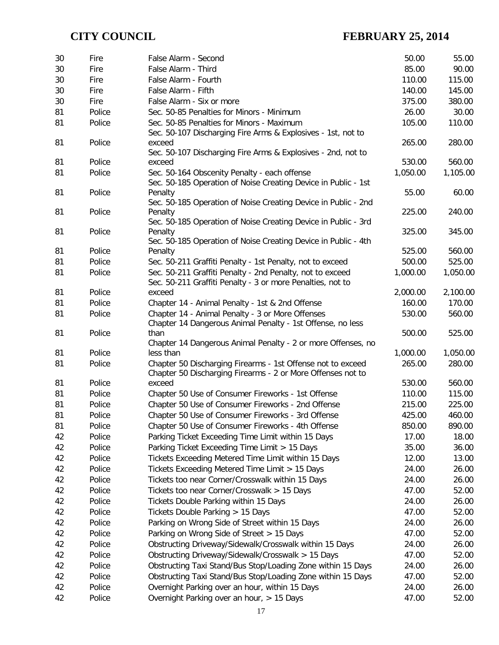| False Alarm - Third<br>85.00<br>30<br>Fire<br>90.00<br>30<br>110.00<br>115.00<br>Fire<br>False Alarm - Fourth<br>False Alarm - Fifth<br>140.00<br>145.00<br>30<br>Fire<br>30<br>380.00<br>Fire<br>False Alarm - Six or more<br>375.00<br>81<br>Police<br>Sec. 50-85 Penalties for Minors - Minimum<br>26.00<br>30.00<br>Police<br>105.00<br>110.00<br>81<br>Sec. 50-85 Penalties for Minors - Maximum<br>Sec. 50-107 Discharging Fire Arms & Explosives - 1st, not to<br>Police<br>265.00<br>280.00<br>81<br>exceed<br>Sec. 50-107 Discharging Fire Arms & Explosives - 2nd, not to<br>Police<br>560.00<br>81<br>exceed<br>530.00<br>81<br>1,050.00<br>1,105.00<br>Police<br>Sec. 50-164 Obscenity Penalty - each offense<br>Sec. 50-185 Operation of Noise Creating Device in Public - 1st<br>81<br>Police<br>Penalty<br>60.00<br>55.00<br>Sec. 50-185 Operation of Noise Creating Device in Public - 2nd<br>81<br>Police<br>225.00<br>240.00<br>Penalty<br>Sec. 50-185 Operation of Noise Creating Device in Public - 3rd<br>81<br>Police<br>325.00<br>345.00<br>Penalty<br>Sec. 50-185 Operation of Noise Creating Device in Public - 4th<br>81<br>Police<br>525.00<br>560.00<br>Penalty<br>81<br>Police<br>500.00<br>525.00<br>Sec. 50-211 Graffiti Penalty - 1st Penalty, not to exceed<br>Sec. 50-211 Graffiti Penalty - 2nd Penalty, not to exceed<br>1,050.00<br>81<br>Police<br>1,000.00<br>Sec. 50-211 Graffiti Penalty - 3 or more Penalties, not to<br>Police<br>2,100.00<br>81<br>2,000.00<br>exceed<br>Police<br>Chapter 14 - Animal Penalty - 1st & 2nd Offense<br>160.00<br>170.00<br>81<br>Police<br>Chapter 14 - Animal Penalty - 3 or More Offenses<br>530.00<br>560.00<br>81<br>Chapter 14 Dangerous Animal Penalty - 1st Offense, no less<br>Police<br>81<br>500.00<br>525.00<br>than<br>Chapter 14 Dangerous Animal Penalty - 2 or more Offenses, no<br>Police<br>81<br>1,000.00<br>1,050.00<br>less than<br>Chapter 50 Discharging Firearms - 1st Offense not to exceed<br>265.00<br>280.00<br>81<br>Police<br>Chapter 50 Discharging Firearms - 2 or More Offenses not to<br>81<br>Police<br>530.00<br>560.00<br>exceed<br>Police<br>115.00<br>81<br>Chapter 50 Use of Consumer Fireworks - 1st Offense<br>110.00<br>81<br>Police<br>Chapter 50 Use of Consumer Fireworks - 2nd Offense<br>225.00<br>215.00<br>81<br>Chapter 50 Use of Consumer Fireworks - 3rd Offense<br>425.00<br>Police<br>460.00<br>Chapter 50 Use of Consumer Fireworks - 4th Offense<br>81<br>Police<br>850.00<br>890.00<br>42<br>Police<br>Parking Ticket Exceeding Time Limit within 15 Days<br>17.00<br>18.00<br>Parking Ticket Exceeding Time Limit > 15 Days<br>42<br>Police<br>35.00<br>36.00<br>42<br>Police<br>Tickets Exceeding Metered Time Limit within 15 Days<br>12.00<br>13.00<br>42<br>Police<br>Tickets Exceeding Metered Time Limit > 15 Days<br>24.00<br>26.00<br>42<br>Police<br>Tickets too near Corner/Crosswalk within 15 Days<br>24.00<br>26.00<br>42<br>Police<br>Tickets too near Corner/Crosswalk > 15 Days<br>47.00<br>52.00<br>42<br>Police<br>Tickets Double Parking within 15 Days<br>24.00<br>26.00<br>42<br>Police<br>Tickets Double Parking > 15 Days<br>47.00<br>52.00<br>42<br>Police<br>Parking on Wrong Side of Street within 15 Days<br>24.00<br>26.00<br>42<br>Parking on Wrong Side of Street > 15 Days<br>47.00<br>52.00<br>Police<br>42<br>Obstructing Driveway/Sidewalk/Crosswalk within 15 Days<br>24.00<br>26.00<br>Police<br>42<br>Police<br>Obstructing Driveway/Sidewalk/Crosswalk > 15 Days<br>47.00<br>52.00<br>42<br>Police<br>Obstructing Taxi Stand/Bus Stop/Loading Zone within 15 Days<br>26.00<br>24.00<br>42<br>Police<br>Obstructing Taxi Stand/Bus Stop/Loading Zone within 15 Days<br>47.00<br>52.00<br>42<br>Overnight Parking over an hour, within 15 Days<br>24.00<br>Police<br>26.00<br>Overnight Parking over an hour, > 15 Days<br>52.00<br>42<br>47.00<br>Police | 30 | Fire | False Alarm - Second | 50.00 | 55.00 |
|------------------------------------------------------------------------------------------------------------------------------------------------------------------------------------------------------------------------------------------------------------------------------------------------------------------------------------------------------------------------------------------------------------------------------------------------------------------------------------------------------------------------------------------------------------------------------------------------------------------------------------------------------------------------------------------------------------------------------------------------------------------------------------------------------------------------------------------------------------------------------------------------------------------------------------------------------------------------------------------------------------------------------------------------------------------------------------------------------------------------------------------------------------------------------------------------------------------------------------------------------------------------------------------------------------------------------------------------------------------------------------------------------------------------------------------------------------------------------------------------------------------------------------------------------------------------------------------------------------------------------------------------------------------------------------------------------------------------------------------------------------------------------------------------------------------------------------------------------------------------------------------------------------------------------------------------------------------------------------------------------------------------------------------------------------------------------------------------------------------------------------------------------------------------------------------------------------------------------------------------------------------------------------------------------------------------------------------------------------------------------------------------------------------------------------------------------------------------------------------------------------------------------------------------------------------------------------------------------------------------------------------------------------------------------------------------------------------------------------------------------------------------------------------------------------------------------------------------------------------------------------------------------------------------------------------------------------------------------------------------------------------------------------------------------------------------------------------------------------------------------------------------------------------------------------------------------------------------------------------------------------------------------------------------------------------------------------------------------------------------------------------------------------------------------------------------------------------------------------------------------------------------------------------------------------------------------------------------------------------------------------------------------------------------------------------------------------------------------------------------------------------------------------------------------------------------------------------------------------------------------------------------------------------------------------|----|------|----------------------|-------|-------|
|                                                                                                                                                                                                                                                                                                                                                                                                                                                                                                                                                                                                                                                                                                                                                                                                                                                                                                                                                                                                                                                                                                                                                                                                                                                                                                                                                                                                                                                                                                                                                                                                                                                                                                                                                                                                                                                                                                                                                                                                                                                                                                                                                                                                                                                                                                                                                                                                                                                                                                                                                                                                                                                                                                                                                                                                                                                                                                                                                                                                                                                                                                                                                                                                                                                                                                                                                                                                                                                                                                                                                                                                                                                                                                                                                                                                                                                                                                                                    |    |      |                      |       |       |
|                                                                                                                                                                                                                                                                                                                                                                                                                                                                                                                                                                                                                                                                                                                                                                                                                                                                                                                                                                                                                                                                                                                                                                                                                                                                                                                                                                                                                                                                                                                                                                                                                                                                                                                                                                                                                                                                                                                                                                                                                                                                                                                                                                                                                                                                                                                                                                                                                                                                                                                                                                                                                                                                                                                                                                                                                                                                                                                                                                                                                                                                                                                                                                                                                                                                                                                                                                                                                                                                                                                                                                                                                                                                                                                                                                                                                                                                                                                                    |    |      |                      |       |       |
|                                                                                                                                                                                                                                                                                                                                                                                                                                                                                                                                                                                                                                                                                                                                                                                                                                                                                                                                                                                                                                                                                                                                                                                                                                                                                                                                                                                                                                                                                                                                                                                                                                                                                                                                                                                                                                                                                                                                                                                                                                                                                                                                                                                                                                                                                                                                                                                                                                                                                                                                                                                                                                                                                                                                                                                                                                                                                                                                                                                                                                                                                                                                                                                                                                                                                                                                                                                                                                                                                                                                                                                                                                                                                                                                                                                                                                                                                                                                    |    |      |                      |       |       |
|                                                                                                                                                                                                                                                                                                                                                                                                                                                                                                                                                                                                                                                                                                                                                                                                                                                                                                                                                                                                                                                                                                                                                                                                                                                                                                                                                                                                                                                                                                                                                                                                                                                                                                                                                                                                                                                                                                                                                                                                                                                                                                                                                                                                                                                                                                                                                                                                                                                                                                                                                                                                                                                                                                                                                                                                                                                                                                                                                                                                                                                                                                                                                                                                                                                                                                                                                                                                                                                                                                                                                                                                                                                                                                                                                                                                                                                                                                                                    |    |      |                      |       |       |
|                                                                                                                                                                                                                                                                                                                                                                                                                                                                                                                                                                                                                                                                                                                                                                                                                                                                                                                                                                                                                                                                                                                                                                                                                                                                                                                                                                                                                                                                                                                                                                                                                                                                                                                                                                                                                                                                                                                                                                                                                                                                                                                                                                                                                                                                                                                                                                                                                                                                                                                                                                                                                                                                                                                                                                                                                                                                                                                                                                                                                                                                                                                                                                                                                                                                                                                                                                                                                                                                                                                                                                                                                                                                                                                                                                                                                                                                                                                                    |    |      |                      |       |       |
|                                                                                                                                                                                                                                                                                                                                                                                                                                                                                                                                                                                                                                                                                                                                                                                                                                                                                                                                                                                                                                                                                                                                                                                                                                                                                                                                                                                                                                                                                                                                                                                                                                                                                                                                                                                                                                                                                                                                                                                                                                                                                                                                                                                                                                                                                                                                                                                                                                                                                                                                                                                                                                                                                                                                                                                                                                                                                                                                                                                                                                                                                                                                                                                                                                                                                                                                                                                                                                                                                                                                                                                                                                                                                                                                                                                                                                                                                                                                    |    |      |                      |       |       |
|                                                                                                                                                                                                                                                                                                                                                                                                                                                                                                                                                                                                                                                                                                                                                                                                                                                                                                                                                                                                                                                                                                                                                                                                                                                                                                                                                                                                                                                                                                                                                                                                                                                                                                                                                                                                                                                                                                                                                                                                                                                                                                                                                                                                                                                                                                                                                                                                                                                                                                                                                                                                                                                                                                                                                                                                                                                                                                                                                                                                                                                                                                                                                                                                                                                                                                                                                                                                                                                                                                                                                                                                                                                                                                                                                                                                                                                                                                                                    |    |      |                      |       |       |
|                                                                                                                                                                                                                                                                                                                                                                                                                                                                                                                                                                                                                                                                                                                                                                                                                                                                                                                                                                                                                                                                                                                                                                                                                                                                                                                                                                                                                                                                                                                                                                                                                                                                                                                                                                                                                                                                                                                                                                                                                                                                                                                                                                                                                                                                                                                                                                                                                                                                                                                                                                                                                                                                                                                                                                                                                                                                                                                                                                                                                                                                                                                                                                                                                                                                                                                                                                                                                                                                                                                                                                                                                                                                                                                                                                                                                                                                                                                                    |    |      |                      |       |       |
|                                                                                                                                                                                                                                                                                                                                                                                                                                                                                                                                                                                                                                                                                                                                                                                                                                                                                                                                                                                                                                                                                                                                                                                                                                                                                                                                                                                                                                                                                                                                                                                                                                                                                                                                                                                                                                                                                                                                                                                                                                                                                                                                                                                                                                                                                                                                                                                                                                                                                                                                                                                                                                                                                                                                                                                                                                                                                                                                                                                                                                                                                                                                                                                                                                                                                                                                                                                                                                                                                                                                                                                                                                                                                                                                                                                                                                                                                                                                    |    |      |                      |       |       |
|                                                                                                                                                                                                                                                                                                                                                                                                                                                                                                                                                                                                                                                                                                                                                                                                                                                                                                                                                                                                                                                                                                                                                                                                                                                                                                                                                                                                                                                                                                                                                                                                                                                                                                                                                                                                                                                                                                                                                                                                                                                                                                                                                                                                                                                                                                                                                                                                                                                                                                                                                                                                                                                                                                                                                                                                                                                                                                                                                                                                                                                                                                                                                                                                                                                                                                                                                                                                                                                                                                                                                                                                                                                                                                                                                                                                                                                                                                                                    |    |      |                      |       |       |
|                                                                                                                                                                                                                                                                                                                                                                                                                                                                                                                                                                                                                                                                                                                                                                                                                                                                                                                                                                                                                                                                                                                                                                                                                                                                                                                                                                                                                                                                                                                                                                                                                                                                                                                                                                                                                                                                                                                                                                                                                                                                                                                                                                                                                                                                                                                                                                                                                                                                                                                                                                                                                                                                                                                                                                                                                                                                                                                                                                                                                                                                                                                                                                                                                                                                                                                                                                                                                                                                                                                                                                                                                                                                                                                                                                                                                                                                                                                                    |    |      |                      |       |       |
|                                                                                                                                                                                                                                                                                                                                                                                                                                                                                                                                                                                                                                                                                                                                                                                                                                                                                                                                                                                                                                                                                                                                                                                                                                                                                                                                                                                                                                                                                                                                                                                                                                                                                                                                                                                                                                                                                                                                                                                                                                                                                                                                                                                                                                                                                                                                                                                                                                                                                                                                                                                                                                                                                                                                                                                                                                                                                                                                                                                                                                                                                                                                                                                                                                                                                                                                                                                                                                                                                                                                                                                                                                                                                                                                                                                                                                                                                                                                    |    |      |                      |       |       |
|                                                                                                                                                                                                                                                                                                                                                                                                                                                                                                                                                                                                                                                                                                                                                                                                                                                                                                                                                                                                                                                                                                                                                                                                                                                                                                                                                                                                                                                                                                                                                                                                                                                                                                                                                                                                                                                                                                                                                                                                                                                                                                                                                                                                                                                                                                                                                                                                                                                                                                                                                                                                                                                                                                                                                                                                                                                                                                                                                                                                                                                                                                                                                                                                                                                                                                                                                                                                                                                                                                                                                                                                                                                                                                                                                                                                                                                                                                                                    |    |      |                      |       |       |
|                                                                                                                                                                                                                                                                                                                                                                                                                                                                                                                                                                                                                                                                                                                                                                                                                                                                                                                                                                                                                                                                                                                                                                                                                                                                                                                                                                                                                                                                                                                                                                                                                                                                                                                                                                                                                                                                                                                                                                                                                                                                                                                                                                                                                                                                                                                                                                                                                                                                                                                                                                                                                                                                                                                                                                                                                                                                                                                                                                                                                                                                                                                                                                                                                                                                                                                                                                                                                                                                                                                                                                                                                                                                                                                                                                                                                                                                                                                                    |    |      |                      |       |       |
|                                                                                                                                                                                                                                                                                                                                                                                                                                                                                                                                                                                                                                                                                                                                                                                                                                                                                                                                                                                                                                                                                                                                                                                                                                                                                                                                                                                                                                                                                                                                                                                                                                                                                                                                                                                                                                                                                                                                                                                                                                                                                                                                                                                                                                                                                                                                                                                                                                                                                                                                                                                                                                                                                                                                                                                                                                                                                                                                                                                                                                                                                                                                                                                                                                                                                                                                                                                                                                                                                                                                                                                                                                                                                                                                                                                                                                                                                                                                    |    |      |                      |       |       |
|                                                                                                                                                                                                                                                                                                                                                                                                                                                                                                                                                                                                                                                                                                                                                                                                                                                                                                                                                                                                                                                                                                                                                                                                                                                                                                                                                                                                                                                                                                                                                                                                                                                                                                                                                                                                                                                                                                                                                                                                                                                                                                                                                                                                                                                                                                                                                                                                                                                                                                                                                                                                                                                                                                                                                                                                                                                                                                                                                                                                                                                                                                                                                                                                                                                                                                                                                                                                                                                                                                                                                                                                                                                                                                                                                                                                                                                                                                                                    |    |      |                      |       |       |
|                                                                                                                                                                                                                                                                                                                                                                                                                                                                                                                                                                                                                                                                                                                                                                                                                                                                                                                                                                                                                                                                                                                                                                                                                                                                                                                                                                                                                                                                                                                                                                                                                                                                                                                                                                                                                                                                                                                                                                                                                                                                                                                                                                                                                                                                                                                                                                                                                                                                                                                                                                                                                                                                                                                                                                                                                                                                                                                                                                                                                                                                                                                                                                                                                                                                                                                                                                                                                                                                                                                                                                                                                                                                                                                                                                                                                                                                                                                                    |    |      |                      |       |       |
|                                                                                                                                                                                                                                                                                                                                                                                                                                                                                                                                                                                                                                                                                                                                                                                                                                                                                                                                                                                                                                                                                                                                                                                                                                                                                                                                                                                                                                                                                                                                                                                                                                                                                                                                                                                                                                                                                                                                                                                                                                                                                                                                                                                                                                                                                                                                                                                                                                                                                                                                                                                                                                                                                                                                                                                                                                                                                                                                                                                                                                                                                                                                                                                                                                                                                                                                                                                                                                                                                                                                                                                                                                                                                                                                                                                                                                                                                                                                    |    |      |                      |       |       |
|                                                                                                                                                                                                                                                                                                                                                                                                                                                                                                                                                                                                                                                                                                                                                                                                                                                                                                                                                                                                                                                                                                                                                                                                                                                                                                                                                                                                                                                                                                                                                                                                                                                                                                                                                                                                                                                                                                                                                                                                                                                                                                                                                                                                                                                                                                                                                                                                                                                                                                                                                                                                                                                                                                                                                                                                                                                                                                                                                                                                                                                                                                                                                                                                                                                                                                                                                                                                                                                                                                                                                                                                                                                                                                                                                                                                                                                                                                                                    |    |      |                      |       |       |
|                                                                                                                                                                                                                                                                                                                                                                                                                                                                                                                                                                                                                                                                                                                                                                                                                                                                                                                                                                                                                                                                                                                                                                                                                                                                                                                                                                                                                                                                                                                                                                                                                                                                                                                                                                                                                                                                                                                                                                                                                                                                                                                                                                                                                                                                                                                                                                                                                                                                                                                                                                                                                                                                                                                                                                                                                                                                                                                                                                                                                                                                                                                                                                                                                                                                                                                                                                                                                                                                                                                                                                                                                                                                                                                                                                                                                                                                                                                                    |    |      |                      |       |       |
|                                                                                                                                                                                                                                                                                                                                                                                                                                                                                                                                                                                                                                                                                                                                                                                                                                                                                                                                                                                                                                                                                                                                                                                                                                                                                                                                                                                                                                                                                                                                                                                                                                                                                                                                                                                                                                                                                                                                                                                                                                                                                                                                                                                                                                                                                                                                                                                                                                                                                                                                                                                                                                                                                                                                                                                                                                                                                                                                                                                                                                                                                                                                                                                                                                                                                                                                                                                                                                                                                                                                                                                                                                                                                                                                                                                                                                                                                                                                    |    |      |                      |       |       |
|                                                                                                                                                                                                                                                                                                                                                                                                                                                                                                                                                                                                                                                                                                                                                                                                                                                                                                                                                                                                                                                                                                                                                                                                                                                                                                                                                                                                                                                                                                                                                                                                                                                                                                                                                                                                                                                                                                                                                                                                                                                                                                                                                                                                                                                                                                                                                                                                                                                                                                                                                                                                                                                                                                                                                                                                                                                                                                                                                                                                                                                                                                                                                                                                                                                                                                                                                                                                                                                                                                                                                                                                                                                                                                                                                                                                                                                                                                                                    |    |      |                      |       |       |
|                                                                                                                                                                                                                                                                                                                                                                                                                                                                                                                                                                                                                                                                                                                                                                                                                                                                                                                                                                                                                                                                                                                                                                                                                                                                                                                                                                                                                                                                                                                                                                                                                                                                                                                                                                                                                                                                                                                                                                                                                                                                                                                                                                                                                                                                                                                                                                                                                                                                                                                                                                                                                                                                                                                                                                                                                                                                                                                                                                                                                                                                                                                                                                                                                                                                                                                                                                                                                                                                                                                                                                                                                                                                                                                                                                                                                                                                                                                                    |    |      |                      |       |       |
|                                                                                                                                                                                                                                                                                                                                                                                                                                                                                                                                                                                                                                                                                                                                                                                                                                                                                                                                                                                                                                                                                                                                                                                                                                                                                                                                                                                                                                                                                                                                                                                                                                                                                                                                                                                                                                                                                                                                                                                                                                                                                                                                                                                                                                                                                                                                                                                                                                                                                                                                                                                                                                                                                                                                                                                                                                                                                                                                                                                                                                                                                                                                                                                                                                                                                                                                                                                                                                                                                                                                                                                                                                                                                                                                                                                                                                                                                                                                    |    |      |                      |       |       |
|                                                                                                                                                                                                                                                                                                                                                                                                                                                                                                                                                                                                                                                                                                                                                                                                                                                                                                                                                                                                                                                                                                                                                                                                                                                                                                                                                                                                                                                                                                                                                                                                                                                                                                                                                                                                                                                                                                                                                                                                                                                                                                                                                                                                                                                                                                                                                                                                                                                                                                                                                                                                                                                                                                                                                                                                                                                                                                                                                                                                                                                                                                                                                                                                                                                                                                                                                                                                                                                                                                                                                                                                                                                                                                                                                                                                                                                                                                                                    |    |      |                      |       |       |
|                                                                                                                                                                                                                                                                                                                                                                                                                                                                                                                                                                                                                                                                                                                                                                                                                                                                                                                                                                                                                                                                                                                                                                                                                                                                                                                                                                                                                                                                                                                                                                                                                                                                                                                                                                                                                                                                                                                                                                                                                                                                                                                                                                                                                                                                                                                                                                                                                                                                                                                                                                                                                                                                                                                                                                                                                                                                                                                                                                                                                                                                                                                                                                                                                                                                                                                                                                                                                                                                                                                                                                                                                                                                                                                                                                                                                                                                                                                                    |    |      |                      |       |       |
|                                                                                                                                                                                                                                                                                                                                                                                                                                                                                                                                                                                                                                                                                                                                                                                                                                                                                                                                                                                                                                                                                                                                                                                                                                                                                                                                                                                                                                                                                                                                                                                                                                                                                                                                                                                                                                                                                                                                                                                                                                                                                                                                                                                                                                                                                                                                                                                                                                                                                                                                                                                                                                                                                                                                                                                                                                                                                                                                                                                                                                                                                                                                                                                                                                                                                                                                                                                                                                                                                                                                                                                                                                                                                                                                                                                                                                                                                                                                    |    |      |                      |       |       |
|                                                                                                                                                                                                                                                                                                                                                                                                                                                                                                                                                                                                                                                                                                                                                                                                                                                                                                                                                                                                                                                                                                                                                                                                                                                                                                                                                                                                                                                                                                                                                                                                                                                                                                                                                                                                                                                                                                                                                                                                                                                                                                                                                                                                                                                                                                                                                                                                                                                                                                                                                                                                                                                                                                                                                                                                                                                                                                                                                                                                                                                                                                                                                                                                                                                                                                                                                                                                                                                                                                                                                                                                                                                                                                                                                                                                                                                                                                                                    |    |      |                      |       |       |
|                                                                                                                                                                                                                                                                                                                                                                                                                                                                                                                                                                                                                                                                                                                                                                                                                                                                                                                                                                                                                                                                                                                                                                                                                                                                                                                                                                                                                                                                                                                                                                                                                                                                                                                                                                                                                                                                                                                                                                                                                                                                                                                                                                                                                                                                                                                                                                                                                                                                                                                                                                                                                                                                                                                                                                                                                                                                                                                                                                                                                                                                                                                                                                                                                                                                                                                                                                                                                                                                                                                                                                                                                                                                                                                                                                                                                                                                                                                                    |    |      |                      |       |       |
|                                                                                                                                                                                                                                                                                                                                                                                                                                                                                                                                                                                                                                                                                                                                                                                                                                                                                                                                                                                                                                                                                                                                                                                                                                                                                                                                                                                                                                                                                                                                                                                                                                                                                                                                                                                                                                                                                                                                                                                                                                                                                                                                                                                                                                                                                                                                                                                                                                                                                                                                                                                                                                                                                                                                                                                                                                                                                                                                                                                                                                                                                                                                                                                                                                                                                                                                                                                                                                                                                                                                                                                                                                                                                                                                                                                                                                                                                                                                    |    |      |                      |       |       |
|                                                                                                                                                                                                                                                                                                                                                                                                                                                                                                                                                                                                                                                                                                                                                                                                                                                                                                                                                                                                                                                                                                                                                                                                                                                                                                                                                                                                                                                                                                                                                                                                                                                                                                                                                                                                                                                                                                                                                                                                                                                                                                                                                                                                                                                                                                                                                                                                                                                                                                                                                                                                                                                                                                                                                                                                                                                                                                                                                                                                                                                                                                                                                                                                                                                                                                                                                                                                                                                                                                                                                                                                                                                                                                                                                                                                                                                                                                                                    |    |      |                      |       |       |
|                                                                                                                                                                                                                                                                                                                                                                                                                                                                                                                                                                                                                                                                                                                                                                                                                                                                                                                                                                                                                                                                                                                                                                                                                                                                                                                                                                                                                                                                                                                                                                                                                                                                                                                                                                                                                                                                                                                                                                                                                                                                                                                                                                                                                                                                                                                                                                                                                                                                                                                                                                                                                                                                                                                                                                                                                                                                                                                                                                                                                                                                                                                                                                                                                                                                                                                                                                                                                                                                                                                                                                                                                                                                                                                                                                                                                                                                                                                                    |    |      |                      |       |       |
|                                                                                                                                                                                                                                                                                                                                                                                                                                                                                                                                                                                                                                                                                                                                                                                                                                                                                                                                                                                                                                                                                                                                                                                                                                                                                                                                                                                                                                                                                                                                                                                                                                                                                                                                                                                                                                                                                                                                                                                                                                                                                                                                                                                                                                                                                                                                                                                                                                                                                                                                                                                                                                                                                                                                                                                                                                                                                                                                                                                                                                                                                                                                                                                                                                                                                                                                                                                                                                                                                                                                                                                                                                                                                                                                                                                                                                                                                                                                    |    |      |                      |       |       |
|                                                                                                                                                                                                                                                                                                                                                                                                                                                                                                                                                                                                                                                                                                                                                                                                                                                                                                                                                                                                                                                                                                                                                                                                                                                                                                                                                                                                                                                                                                                                                                                                                                                                                                                                                                                                                                                                                                                                                                                                                                                                                                                                                                                                                                                                                                                                                                                                                                                                                                                                                                                                                                                                                                                                                                                                                                                                                                                                                                                                                                                                                                                                                                                                                                                                                                                                                                                                                                                                                                                                                                                                                                                                                                                                                                                                                                                                                                                                    |    |      |                      |       |       |
|                                                                                                                                                                                                                                                                                                                                                                                                                                                                                                                                                                                                                                                                                                                                                                                                                                                                                                                                                                                                                                                                                                                                                                                                                                                                                                                                                                                                                                                                                                                                                                                                                                                                                                                                                                                                                                                                                                                                                                                                                                                                                                                                                                                                                                                                                                                                                                                                                                                                                                                                                                                                                                                                                                                                                                                                                                                                                                                                                                                                                                                                                                                                                                                                                                                                                                                                                                                                                                                                                                                                                                                                                                                                                                                                                                                                                                                                                                                                    |    |      |                      |       |       |
|                                                                                                                                                                                                                                                                                                                                                                                                                                                                                                                                                                                                                                                                                                                                                                                                                                                                                                                                                                                                                                                                                                                                                                                                                                                                                                                                                                                                                                                                                                                                                                                                                                                                                                                                                                                                                                                                                                                                                                                                                                                                                                                                                                                                                                                                                                                                                                                                                                                                                                                                                                                                                                                                                                                                                                                                                                                                                                                                                                                                                                                                                                                                                                                                                                                                                                                                                                                                                                                                                                                                                                                                                                                                                                                                                                                                                                                                                                                                    |    |      |                      |       |       |
|                                                                                                                                                                                                                                                                                                                                                                                                                                                                                                                                                                                                                                                                                                                                                                                                                                                                                                                                                                                                                                                                                                                                                                                                                                                                                                                                                                                                                                                                                                                                                                                                                                                                                                                                                                                                                                                                                                                                                                                                                                                                                                                                                                                                                                                                                                                                                                                                                                                                                                                                                                                                                                                                                                                                                                                                                                                                                                                                                                                                                                                                                                                                                                                                                                                                                                                                                                                                                                                                                                                                                                                                                                                                                                                                                                                                                                                                                                                                    |    |      |                      |       |       |
|                                                                                                                                                                                                                                                                                                                                                                                                                                                                                                                                                                                                                                                                                                                                                                                                                                                                                                                                                                                                                                                                                                                                                                                                                                                                                                                                                                                                                                                                                                                                                                                                                                                                                                                                                                                                                                                                                                                                                                                                                                                                                                                                                                                                                                                                                                                                                                                                                                                                                                                                                                                                                                                                                                                                                                                                                                                                                                                                                                                                                                                                                                                                                                                                                                                                                                                                                                                                                                                                                                                                                                                                                                                                                                                                                                                                                                                                                                                                    |    |      |                      |       |       |
|                                                                                                                                                                                                                                                                                                                                                                                                                                                                                                                                                                                                                                                                                                                                                                                                                                                                                                                                                                                                                                                                                                                                                                                                                                                                                                                                                                                                                                                                                                                                                                                                                                                                                                                                                                                                                                                                                                                                                                                                                                                                                                                                                                                                                                                                                                                                                                                                                                                                                                                                                                                                                                                                                                                                                                                                                                                                                                                                                                                                                                                                                                                                                                                                                                                                                                                                                                                                                                                                                                                                                                                                                                                                                                                                                                                                                                                                                                                                    |    |      |                      |       |       |
|                                                                                                                                                                                                                                                                                                                                                                                                                                                                                                                                                                                                                                                                                                                                                                                                                                                                                                                                                                                                                                                                                                                                                                                                                                                                                                                                                                                                                                                                                                                                                                                                                                                                                                                                                                                                                                                                                                                                                                                                                                                                                                                                                                                                                                                                                                                                                                                                                                                                                                                                                                                                                                                                                                                                                                                                                                                                                                                                                                                                                                                                                                                                                                                                                                                                                                                                                                                                                                                                                                                                                                                                                                                                                                                                                                                                                                                                                                                                    |    |      |                      |       |       |
|                                                                                                                                                                                                                                                                                                                                                                                                                                                                                                                                                                                                                                                                                                                                                                                                                                                                                                                                                                                                                                                                                                                                                                                                                                                                                                                                                                                                                                                                                                                                                                                                                                                                                                                                                                                                                                                                                                                                                                                                                                                                                                                                                                                                                                                                                                                                                                                                                                                                                                                                                                                                                                                                                                                                                                                                                                                                                                                                                                                                                                                                                                                                                                                                                                                                                                                                                                                                                                                                                                                                                                                                                                                                                                                                                                                                                                                                                                                                    |    |      |                      |       |       |
|                                                                                                                                                                                                                                                                                                                                                                                                                                                                                                                                                                                                                                                                                                                                                                                                                                                                                                                                                                                                                                                                                                                                                                                                                                                                                                                                                                                                                                                                                                                                                                                                                                                                                                                                                                                                                                                                                                                                                                                                                                                                                                                                                                                                                                                                                                                                                                                                                                                                                                                                                                                                                                                                                                                                                                                                                                                                                                                                                                                                                                                                                                                                                                                                                                                                                                                                                                                                                                                                                                                                                                                                                                                                                                                                                                                                                                                                                                                                    |    |      |                      |       |       |
|                                                                                                                                                                                                                                                                                                                                                                                                                                                                                                                                                                                                                                                                                                                                                                                                                                                                                                                                                                                                                                                                                                                                                                                                                                                                                                                                                                                                                                                                                                                                                                                                                                                                                                                                                                                                                                                                                                                                                                                                                                                                                                                                                                                                                                                                                                                                                                                                                                                                                                                                                                                                                                                                                                                                                                                                                                                                                                                                                                                                                                                                                                                                                                                                                                                                                                                                                                                                                                                                                                                                                                                                                                                                                                                                                                                                                                                                                                                                    |    |      |                      |       |       |
|                                                                                                                                                                                                                                                                                                                                                                                                                                                                                                                                                                                                                                                                                                                                                                                                                                                                                                                                                                                                                                                                                                                                                                                                                                                                                                                                                                                                                                                                                                                                                                                                                                                                                                                                                                                                                                                                                                                                                                                                                                                                                                                                                                                                                                                                                                                                                                                                                                                                                                                                                                                                                                                                                                                                                                                                                                                                                                                                                                                                                                                                                                                                                                                                                                                                                                                                                                                                                                                                                                                                                                                                                                                                                                                                                                                                                                                                                                                                    |    |      |                      |       |       |
|                                                                                                                                                                                                                                                                                                                                                                                                                                                                                                                                                                                                                                                                                                                                                                                                                                                                                                                                                                                                                                                                                                                                                                                                                                                                                                                                                                                                                                                                                                                                                                                                                                                                                                                                                                                                                                                                                                                                                                                                                                                                                                                                                                                                                                                                                                                                                                                                                                                                                                                                                                                                                                                                                                                                                                                                                                                                                                                                                                                                                                                                                                                                                                                                                                                                                                                                                                                                                                                                                                                                                                                                                                                                                                                                                                                                                                                                                                                                    |    |      |                      |       |       |
|                                                                                                                                                                                                                                                                                                                                                                                                                                                                                                                                                                                                                                                                                                                                                                                                                                                                                                                                                                                                                                                                                                                                                                                                                                                                                                                                                                                                                                                                                                                                                                                                                                                                                                                                                                                                                                                                                                                                                                                                                                                                                                                                                                                                                                                                                                                                                                                                                                                                                                                                                                                                                                                                                                                                                                                                                                                                                                                                                                                                                                                                                                                                                                                                                                                                                                                                                                                                                                                                                                                                                                                                                                                                                                                                                                                                                                                                                                                                    |    |      |                      |       |       |
|                                                                                                                                                                                                                                                                                                                                                                                                                                                                                                                                                                                                                                                                                                                                                                                                                                                                                                                                                                                                                                                                                                                                                                                                                                                                                                                                                                                                                                                                                                                                                                                                                                                                                                                                                                                                                                                                                                                                                                                                                                                                                                                                                                                                                                                                                                                                                                                                                                                                                                                                                                                                                                                                                                                                                                                                                                                                                                                                                                                                                                                                                                                                                                                                                                                                                                                                                                                                                                                                                                                                                                                                                                                                                                                                                                                                                                                                                                                                    |    |      |                      |       |       |
|                                                                                                                                                                                                                                                                                                                                                                                                                                                                                                                                                                                                                                                                                                                                                                                                                                                                                                                                                                                                                                                                                                                                                                                                                                                                                                                                                                                                                                                                                                                                                                                                                                                                                                                                                                                                                                                                                                                                                                                                                                                                                                                                                                                                                                                                                                                                                                                                                                                                                                                                                                                                                                                                                                                                                                                                                                                                                                                                                                                                                                                                                                                                                                                                                                                                                                                                                                                                                                                                                                                                                                                                                                                                                                                                                                                                                                                                                                                                    |    |      |                      |       |       |
|                                                                                                                                                                                                                                                                                                                                                                                                                                                                                                                                                                                                                                                                                                                                                                                                                                                                                                                                                                                                                                                                                                                                                                                                                                                                                                                                                                                                                                                                                                                                                                                                                                                                                                                                                                                                                                                                                                                                                                                                                                                                                                                                                                                                                                                                                                                                                                                                                                                                                                                                                                                                                                                                                                                                                                                                                                                                                                                                                                                                                                                                                                                                                                                                                                                                                                                                                                                                                                                                                                                                                                                                                                                                                                                                                                                                                                                                                                                                    |    |      |                      |       |       |
|                                                                                                                                                                                                                                                                                                                                                                                                                                                                                                                                                                                                                                                                                                                                                                                                                                                                                                                                                                                                                                                                                                                                                                                                                                                                                                                                                                                                                                                                                                                                                                                                                                                                                                                                                                                                                                                                                                                                                                                                                                                                                                                                                                                                                                                                                                                                                                                                                                                                                                                                                                                                                                                                                                                                                                                                                                                                                                                                                                                                                                                                                                                                                                                                                                                                                                                                                                                                                                                                                                                                                                                                                                                                                                                                                                                                                                                                                                                                    |    |      |                      |       |       |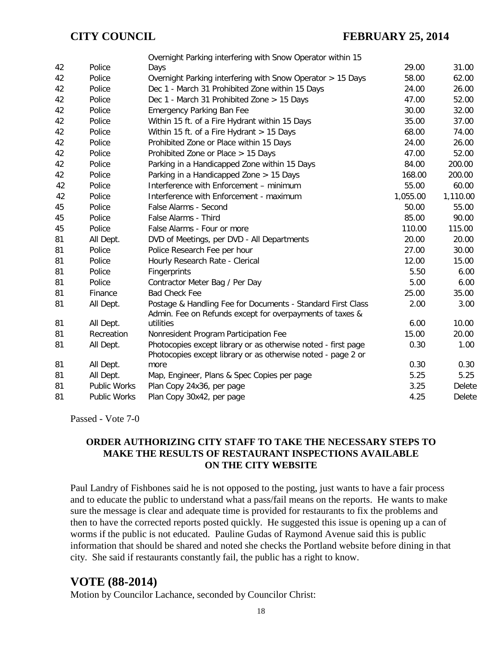|    |              | Overnight Parking interfering with Snow Operator within 15                                                                    |          |          |
|----|--------------|-------------------------------------------------------------------------------------------------------------------------------|----------|----------|
| 42 | Police       | Days                                                                                                                          | 29.00    | 31.00    |
| 42 | Police       | Overnight Parking interfering with Snow Operator > 15 Days                                                                    | 58.00    | 62.00    |
| 42 | Police       | Dec 1 - March 31 Prohibited Zone within 15 Days                                                                               | 24.00    | 26.00    |
| 42 | Police       | Dec 1 - March 31 Prohibited Zone > 15 Days                                                                                    | 47.00    | 52.00    |
| 42 | Police       | <b>Emergency Parking Ban Fee</b>                                                                                              | 30.00    | 32.00    |
| 42 | Police       | Within 15 ft. of a Fire Hydrant within 15 Days                                                                                | 35.00    | 37.00    |
| 42 | Police       | Within 15 ft. of a Fire Hydrant $> 15$ Days                                                                                   | 68.00    | 74.00    |
| 42 | Police       | Prohibited Zone or Place within 15 Days                                                                                       | 24.00    | 26.00    |
| 42 | Police       | Prohibited Zone or Place > 15 Days                                                                                            | 47.00    | 52.00    |
| 42 | Police       | Parking in a Handicapped Zone within 15 Days                                                                                  | 84.00    | 200.00   |
| 42 | Police       | Parking in a Handicapped Zone > 15 Days                                                                                       | 168.00   | 200.00   |
| 42 | Police       | Interference with Enforcement - minimum                                                                                       | 55.00    | 60.00    |
| 42 | Police       | Interference with Enforcement - maximum                                                                                       | 1,055.00 | 1,110.00 |
| 45 | Police       | False Alarms - Second                                                                                                         | 50.00    | 55.00    |
| 45 | Police       | False Alarms - Third                                                                                                          | 85.00    | 90.00    |
| 45 | Police       | False Alarms - Four or more                                                                                                   | 110.00   | 115.00   |
| 81 | All Dept.    | DVD of Meetings, per DVD - All Departments                                                                                    | 20.00    | 20.00    |
| 81 | Police       | Police Research Fee per hour                                                                                                  | 27.00    | 30.00    |
| 81 | Police       | Hourly Research Rate - Clerical                                                                                               | 12.00    | 15.00    |
| 81 | Police       | Fingerprints                                                                                                                  | 5.50     | 6.00     |
| 81 | Police       | Contractor Meter Bag / Per Day                                                                                                | 5.00     | 6.00     |
| 81 | Finance      | <b>Bad Check Fee</b>                                                                                                          | 25.00    | 35.00    |
| 81 | All Dept.    | Postage & Handling Fee for Documents - Standard First Class<br>Admin. Fee on Refunds except for overpayments of taxes &       | 2.00     | 3.00     |
| 81 | All Dept.    | utilities                                                                                                                     | 6.00     | 10.00    |
| 81 | Recreation   | Nonresident Program Participation Fee                                                                                         | 15.00    | 20.00    |
| 81 | All Dept.    | Photocopies except library or as otherwise noted - first page<br>Photocopies except library or as otherwise noted - page 2 or | 0.30     | 1.00     |
| 81 | All Dept.    | more                                                                                                                          | 0.30     | 0.30     |
| 81 | All Dept.    | Map, Engineer, Plans & Spec Copies per page                                                                                   | 5.25     | 5.25     |
| 81 | Public Works | Plan Copy 24x36, per page                                                                                                     | 3.25     | Delete   |
| 81 | Public Works | Plan Copy 30x42, per page                                                                                                     | 4.25     | Delete   |

Passed - Vote 7-0

### **ORDER AUTHORIZING CITY STAFF TO TAKE THE NECESSARY STEPS TO MAKE THE RESULTS OF RESTAURANT INSPECTIONS AVAILABLE ON THE CITY WEBSITE**

Paul Landry of Fishbones said he is not opposed to the posting, just wants to have a fair process and to educate the public to understand what a pass/fail means on the reports. He wants to make sure the message is clear and adequate time is provided for restaurants to fix the problems and then to have the corrected reports posted quickly. He suggested this issue is opening up a can of worms if the public is not educated. Pauline Gudas of Raymond Avenue said this is public information that should be shared and noted she checks the Portland website before dining in that city. She said if restaurants constantly fail, the public has a right to know.

## **VOTE (88-2014)**

Motion by Councilor Lachance, seconded by Councilor Christ: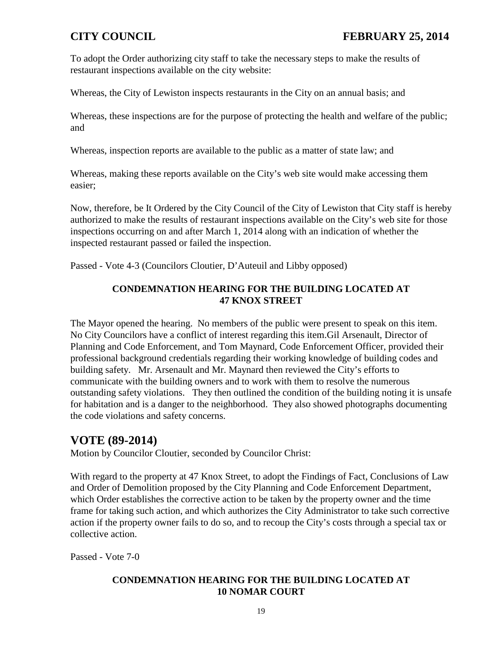To adopt the Order authorizing city staff to take the necessary steps to make the results of restaurant inspections available on the city website:

Whereas, the City of Lewiston inspects restaurants in the City on an annual basis; and

Whereas, these inspections are for the purpose of protecting the health and welfare of the public; and

Whereas, inspection reports are available to the public as a matter of state law; and

Whereas, making these reports available on the City's web site would make accessing them easier;

Now, therefore, be It Ordered by the City Council of the City of Lewiston that City staff is hereby authorized to make the results of restaurant inspections available on the City's web site for those inspections occurring on and after March 1, 2014 along with an indication of whether the inspected restaurant passed or failed the inspection.

Passed - Vote 4-3 (Councilors Cloutier, D'Auteuil and Libby opposed)

### **CONDEMNATION HEARING FOR THE BUILDING LOCATED AT 47 KNOX STREET**

The Mayor opened the hearing. No members of the public were present to speak on this item. No City Councilors have a conflict of interest regarding this item.Gil Arsenault, Director of Planning and Code Enforcement, and Tom Maynard, Code Enforcement Officer, provided their professional background credentials regarding their working knowledge of building codes and building safety. Mr. Arsenault and Mr. Maynard then reviewed the City's efforts to communicate with the building owners and to work with them to resolve the numerous outstanding safety violations. They then outlined the condition of the building noting it is unsafe for habitation and is a danger to the neighborhood. They also showed photographs documenting the code violations and safety concerns.

## **VOTE (89-2014)**

Motion by Councilor Cloutier, seconded by Councilor Christ:

With regard to the property at 47 Knox Street, to adopt the Findings of Fact, Conclusions of Law and Order of Demolition proposed by the City Planning and Code Enforcement Department, which Order establishes the corrective action to be taken by the property owner and the time frame for taking such action, and which authorizes the City Administrator to take such corrective action if the property owner fails to do so, and to recoup the City's costs through a special tax or collective action.

Passed - Vote 7-0

### **CONDEMNATION HEARING FOR THE BUILDING LOCATED AT 10 NOMAR COURT**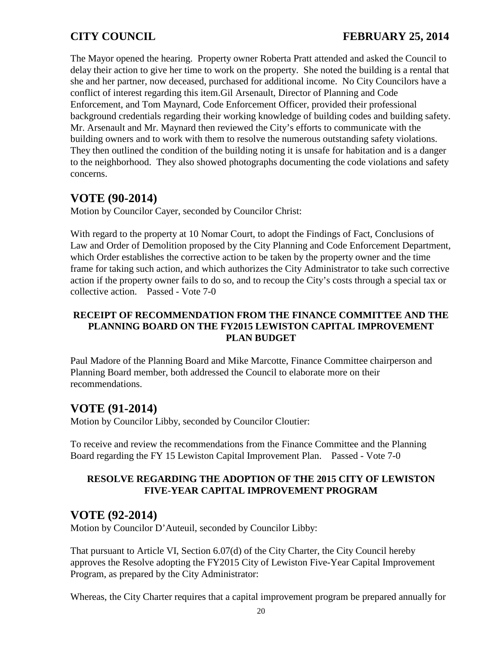The Mayor opened the hearing. Property owner Roberta Pratt attended and asked the Council to delay their action to give her time to work on the property. She noted the building is a rental that she and her partner, now deceased, purchased for additional income. No City Councilors have a conflict of interest regarding this item.Gil Arsenault, Director of Planning and Code Enforcement, and Tom Maynard, Code Enforcement Officer, provided their professional background credentials regarding their working knowledge of building codes and building safety. Mr. Arsenault and Mr. Maynard then reviewed the City's efforts to communicate with the building owners and to work with them to resolve the numerous outstanding safety violations. They then outlined the condition of the building noting it is unsafe for habitation and is a danger to the neighborhood. They also showed photographs documenting the code violations and safety concerns.

## **VOTE (90-2014)**

Motion by Councilor Cayer, seconded by Councilor Christ:

With regard to the property at 10 Nomar Court, to adopt the Findings of Fact, Conclusions of Law and Order of Demolition proposed by the City Planning and Code Enforcement Department, which Order establishes the corrective action to be taken by the property owner and the time frame for taking such action, and which authorizes the City Administrator to take such corrective action if the property owner fails to do so, and to recoup the City's costs through a special tax or collective action. Passed - Vote 7-0

### **RECEIPT OF RECOMMENDATION FROM THE FINANCE COMMITTEE AND THE PLANNING BOARD ON THE FY2015 LEWISTON CAPITAL IMPROVEMENT PLAN BUDGET**

Paul Madore of the Planning Board and Mike Marcotte, Finance Committee chairperson and Planning Board member, both addressed the Council to elaborate more on their recommendations.

# **VOTE (91-2014)**

Motion by Councilor Libby, seconded by Councilor Cloutier:

To receive and review the recommendations from the Finance Committee and the Planning Board regarding the FY 15 Lewiston Capital Improvement Plan. Passed - Vote 7-0

### **RESOLVE REGARDING THE ADOPTION OF THE 2015 CITY OF LEWISTON FIVE-YEAR CAPITAL IMPROVEMENT PROGRAM**

## **VOTE (92-2014)**

Motion by Councilor D'Auteuil, seconded by Councilor Libby:

That pursuant to Article VI, Section 6.07(d) of the City Charter, the City Council hereby approves the Resolve adopting the FY2015 City of Lewiston Five-Year Capital Improvement Program, as prepared by the City Administrator:

Whereas, the City Charter requires that a capital improvement program be prepared annually for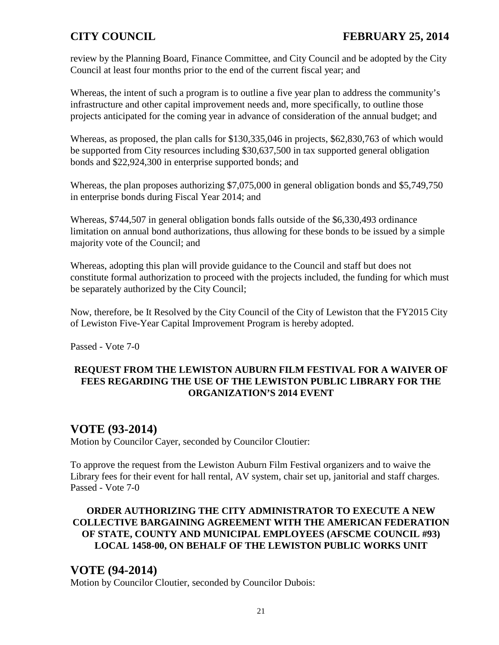review by the Planning Board, Finance Committee, and City Council and be adopted by the City Council at least four months prior to the end of the current fiscal year; and

Whereas, the intent of such a program is to outline a five year plan to address the community's infrastructure and other capital improvement needs and, more specifically, to outline those projects anticipated for the coming year in advance of consideration of the annual budget; and

Whereas, as proposed, the plan calls for \$130,335,046 in projects, \$62,830,763 of which would be supported from City resources including \$30,637,500 in tax supported general obligation bonds and \$22,924,300 in enterprise supported bonds; and

Whereas, the plan proposes authorizing \$7,075,000 in general obligation bonds and \$5,749,750 in enterprise bonds during Fiscal Year 2014; and

Whereas, \$744,507 in general obligation bonds falls outside of the \$6,330,493 ordinance limitation on annual bond authorizations, thus allowing for these bonds to be issued by a simple majority vote of the Council; and

Whereas, adopting this plan will provide guidance to the Council and staff but does not constitute formal authorization to proceed with the projects included, the funding for which must be separately authorized by the City Council;

Now, therefore, be It Resolved by the City Council of the City of Lewiston that the FY2015 City of Lewiston Five-Year Capital Improvement Program is hereby adopted.

Passed - Vote 7-0

### **REQUEST FROM THE LEWISTON AUBURN FILM FESTIVAL FOR A WAIVER OF FEES REGARDING THE USE OF THE LEWISTON PUBLIC LIBRARY FOR THE ORGANIZATION'S 2014 EVENT**

## **VOTE (93-2014)**

Motion by Councilor Cayer, seconded by Councilor Cloutier:

To approve the request from the Lewiston Auburn Film Festival organizers and to waive the Library fees for their event for hall rental, AV system, chair set up, janitorial and staff charges. Passed - Vote 7-0

### **ORDER AUTHORIZING THE CITY ADMINISTRATOR TO EXECUTE A NEW COLLECTIVE BARGAINING AGREEMENT WITH THE AMERICAN FEDERATION OF STATE, COUNTY AND MUNICIPAL EMPLOYEES (AFSCME COUNCIL #93) LOCAL 1458-00, ON BEHALF OF THE LEWISTON PUBLIC WORKS UNIT**

## **VOTE (94-2014)**

Motion by Councilor Cloutier, seconded by Councilor Dubois: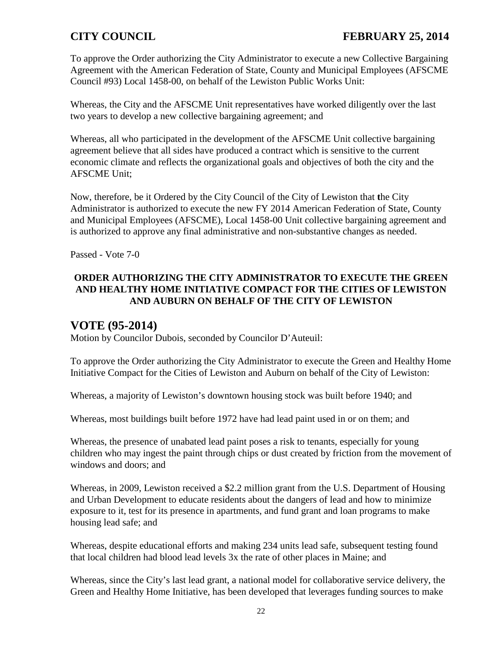To approve the Order authorizing the City Administrator to execute a new Collective Bargaining Agreement with the American Federation of State, County and Municipal Employees (AFSCME Council #93) Local 1458-00, on behalf of the Lewiston Public Works Unit:

Whereas, the City and the AFSCME Unit representatives have worked diligently over the last two years to develop a new collective bargaining agreement; and

Whereas, all who participated in the development of the AFSCME Unit collective bargaining agreement believe that all sides have produced a contract which is sensitive to the current economic climate and reflects the organizational goals and objectives of both the city and the AFSCME Unit;

Now, therefore, be it Ordered by the City Council of the City of Lewiston that **t**he City Administrator is authorized to execute the new FY 2014 American Federation of State, County and Municipal Employees (AFSCME), Local 1458-00 Unit collective bargaining agreement and is authorized to approve any final administrative and non-substantive changes as needed.

Passed - Vote 7-0

### **ORDER AUTHORIZING THE CITY ADMINISTRATOR TO EXECUTE THE GREEN AND HEALTHY HOME INITIATIVE COMPACT FOR THE CITIES OF LEWISTON AND AUBURN ON BEHALF OF THE CITY OF LEWISTON**

## **VOTE (95-2014)**

Motion by Councilor Dubois, seconded by Councilor D'Auteuil:

To approve the Order authorizing the City Administrator to execute the Green and Healthy Home Initiative Compact for the Cities of Lewiston and Auburn on behalf of the City of Lewiston:

Whereas, a majority of Lewiston's downtown housing stock was built before 1940; and

Whereas, most buildings built before 1972 have had lead paint used in or on them; and

Whereas, the presence of unabated lead paint poses a risk to tenants, especially for young children who may ingest the paint through chips or dust created by friction from the movement of windows and doors; and

Whereas, in 2009, Lewiston received a \$2.2 million grant from the U.S. Department of Housing and Urban Development to educate residents about the dangers of lead and how to minimize exposure to it, test for its presence in apartments, and fund grant and loan programs to make housing lead safe; and

Whereas, despite educational efforts and making 234 units lead safe, subsequent testing found that local children had blood lead levels 3x the rate of other places in Maine; and

Whereas, since the City's last lead grant, a national model for collaborative service delivery, the Green and Healthy Home Initiative, has been developed that leverages funding sources to make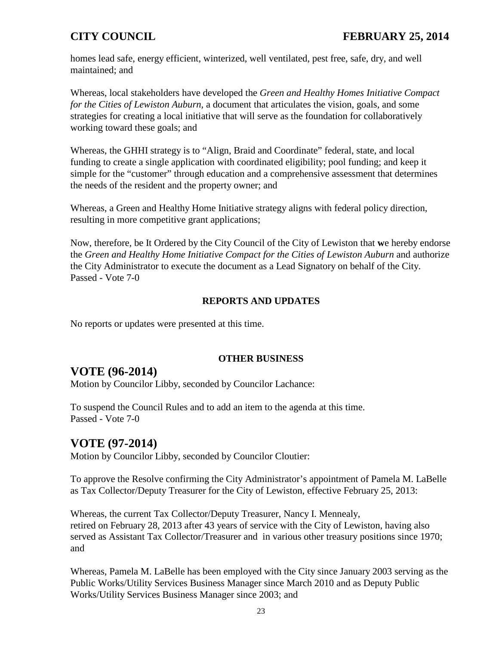homes lead safe, energy efficient, winterized, well ventilated, pest free, safe, dry, and well maintained; and

Whereas, local stakeholders have developed the *Green and Healthy Homes Initiative Compact for the Cities of Lewiston Auburn,* a document that articulates the vision, goals, and some strategies for creating a local initiative that will serve as the foundation for collaboratively working toward these goals; and

Whereas, the GHHI strategy is to "Align, Braid and Coordinate" federal, state, and local funding to create a single application with coordinated eligibility; pool funding; and keep it simple for the "customer" through education and a comprehensive assessment that determines the needs of the resident and the property owner; and

Whereas, a Green and Healthy Home Initiative strategy aligns with federal policy direction, resulting in more competitive grant applications;

Now, therefore, be It Ordered by the City Council of the City of Lewiston that **w**e hereby endorse the *Green and Healthy Home Initiative Compact for the Cities of Lewiston Auburn* and authorize the City Administrator to execute the document as a Lead Signatory on behalf of the City. Passed - Vote 7-0

### **REPORTS AND UPDATES**

No reports or updates were presented at this time.

### **OTHER BUSINESS**

## **VOTE (96-2014)**

Motion by Councilor Libby, seconded by Councilor Lachance:

To suspend the Council Rules and to add an item to the agenda at this time. Passed - Vote 7-0

## **VOTE (97-2014)**

Motion by Councilor Libby, seconded by Councilor Cloutier:

To approve the Resolve confirming the City Administrator's appointment of Pamela M. LaBelle as Tax Collector/Deputy Treasurer for the City of Lewiston, effective February 25, 2013:

Whereas, the current Tax Collector/Deputy Treasurer, Nancy I. Mennealy, retired on February 28, 2013 after 43 years of service with the City of Lewiston, having also served as Assistant Tax Collector/Treasurer and in various other treasury positions since 1970; and

Whereas, Pamela M. LaBelle has been employed with the City since January 2003 serving as the Public Works/Utility Services Business Manager since March 2010 and as Deputy Public Works/Utility Services Business Manager since 2003; and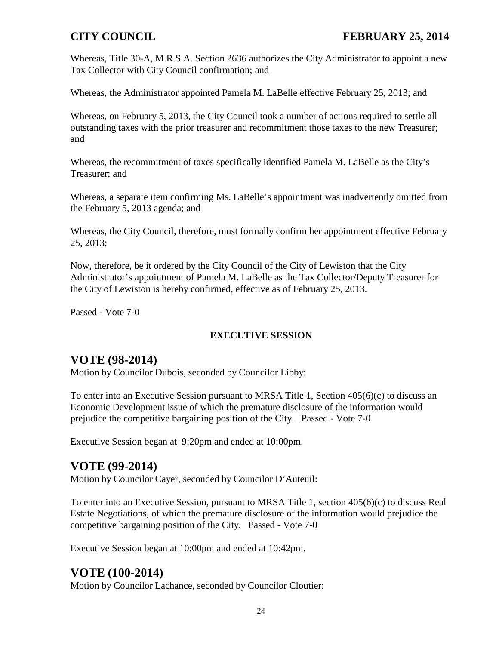Whereas, Title 30-A, M.R.S.A. Section 2636 authorizes the City Administrator to appoint a new Tax Collector with City Council confirmation; and

Whereas, the Administrator appointed Pamela M. LaBelle effective February 25, 2013; and

Whereas, on February 5, 2013, the City Council took a number of actions required to settle all outstanding taxes with the prior treasurer and recommitment those taxes to the new Treasurer; and

Whereas, the recommitment of taxes specifically identified Pamela M. LaBelle as the City's Treasurer; and

Whereas, a separate item confirming Ms. LaBelle's appointment was inadvertently omitted from the February 5, 2013 agenda; and

Whereas, the City Council, therefore, must formally confirm her appointment effective February 25, 2013;

Now, therefore, be it ordered by the City Council of the City of Lewiston that the City Administrator's appointment of Pamela M. LaBelle as the Tax Collector/Deputy Treasurer for the City of Lewiston is hereby confirmed, effective as of February 25, 2013.

Passed - Vote 7-0

### **EXECUTIVE SESSION**

## **VOTE (98-2014)**

Motion by Councilor Dubois, seconded by Councilor Libby:

To enter into an Executive Session pursuant to MRSA Title 1, Section 405(6)(c) to discuss an Economic Development issue of which the premature disclosure of the information would prejudice the competitive bargaining position of the City. Passed - Vote 7-0

Executive Session began at 9:20pm and ended at 10:00pm.

## **VOTE (99-2014)**

Motion by Councilor Cayer, seconded by Councilor D'Auteuil:

To enter into an Executive Session, pursuant to MRSA Title 1, section 405(6)(c) to discuss Real Estate Negotiations, of which the premature disclosure of the information would prejudice the competitive bargaining position of the City. Passed - Vote 7-0

Executive Session began at 10:00pm and ended at 10:42pm.

# **VOTE (100-2014)**

Motion by Councilor Lachance, seconded by Councilor Cloutier: